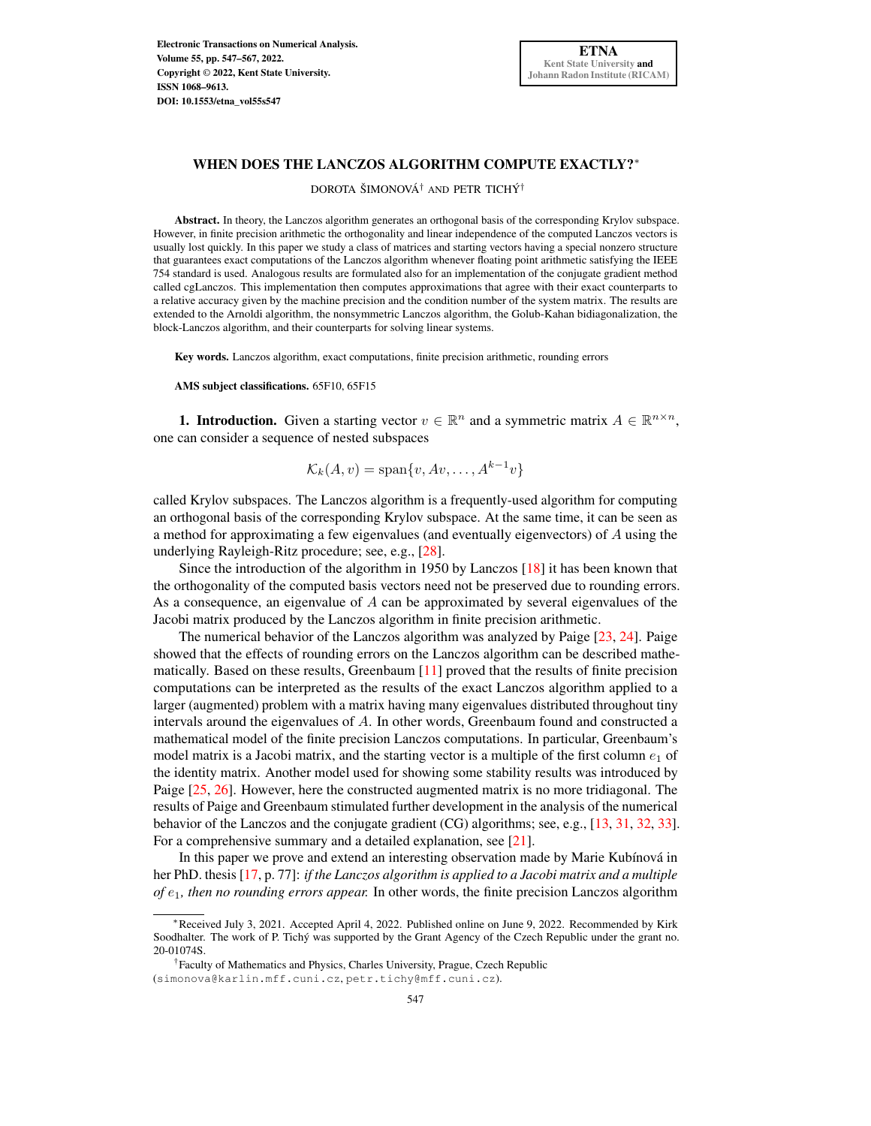Electronic Transactions on Numerical Analysis. Volume 55, pp. 547–567, 2022. Copyright © 2022, Kent State University. ISSN 1068–9613. [DOI: 10.1553/etna\\_vol55s547](http://doi.org/10.1553/etna_vol55s547)

### WHEN DOES THE LANCZOS ALGORITHM COMPUTE EXACTLY?\*

DOROTA ŠIMONOVÁ† AND PETR TICHÝ†

Abstract. In theory, the Lanczos algorithm generates an orthogonal basis of the corresponding Krylov subspace. However, in finite precision arithmetic the orthogonality and linear independence of the computed Lanczos vectors is usually lost quickly. In this paper we study a class of matrices and starting vectors having a special nonzero structure that guarantees exact computations of the Lanczos algorithm whenever floating point arithmetic satisfying the IEEE 754 standard is used. Analogous results are formulated also for an implementation of the conjugate gradient method called cgLanczos. This implementation then computes approximations that agree with their exact counterparts to a relative accuracy given by the machine precision and the condition number of the system matrix. The results are extended to the Arnoldi algorithm, the nonsymmetric Lanczos algorithm, the Golub-Kahan bidiagonalization, the block-Lanczos algorithm, and their counterparts for solving linear systems.

Key words. Lanczos algorithm, exact computations, finite precision arithmetic, rounding errors

AMS subject classifications. 65F10, 65F15

**1. Introduction.** Given a starting vector  $v \in \mathbb{R}^n$  and a symmetric matrix  $A \in \mathbb{R}^{n \times n}$ , one can consider a sequence of nested subspaces

$$
\mathcal{K}_k(A, v) = \text{span}\{v, Av, \dots, A^{k-1}v\}
$$

called Krylov subspaces. The Lanczos algorithm is a frequently-used algorithm for computing an orthogonal basis of the corresponding Krylov subspace. At the same time, it can be seen as a method for approximating a few eigenvalues (and eventually eigenvectors) of A using the underlying Rayleigh-Ritz procedure; see, e.g., [\[28\]](#page-20-0).

Since the introduction of the algorithm in 1950 by Lanczos [\[18\]](#page-20-1) it has been known that the orthogonality of the computed basis vectors need not be preserved due to rounding errors. As a consequence, an eigenvalue of  $A$  can be approximated by several eigenvalues of the Jacobi matrix produced by the Lanczos algorithm in finite precision arithmetic.

The numerical behavior of the Lanczos algorithm was analyzed by Paige [\[23,](#page-20-2) [24\]](#page-20-3). Paige showed that the effects of rounding errors on the Lanczos algorithm can be described mathematically. Based on these results, Greenbaum  $[11]$  proved that the results of finite precision computations can be interpreted as the results of the exact Lanczos algorithm applied to a larger (augmented) problem with a matrix having many eigenvalues distributed throughout tiny intervals around the eigenvalues of A. In other words, Greenbaum found and constructed a mathematical model of the finite precision Lanczos computations. In particular, Greenbaum's model matrix is a Jacobi matrix, and the starting vector is a multiple of the first column  $e_1$  of the identity matrix. Another model used for showing some stability results was introduced by Paige  $[25, 26]$  $[25, 26]$  $[25, 26]$ . However, here the constructed augmented matrix is no more tridiagonal. The results of Paige and Greenbaum stimulated further development in the analysis of the numerical behavior of the Lanczos and the conjugate gradient (CG) algorithms; see, e.g., [\[13,](#page-20-6) [31,](#page-20-7) [32,](#page-20-8) [33\]](#page-20-9). For a comprehensive summary and a detailed explanation, see [\[21\]](#page-20-10).

In this paper we prove and extend an interesting observation made by Marie Kubínová in her PhD. thesis [\[17,](#page-20-11) p. 77]: *if the Lanczos algorithm is applied to a Jacobi matrix and a multiple of* e1*, then no rounding errors appear.* In other words, the finite precision Lanczos algorithm

<sup>∗</sup>Received July 3, 2021. Accepted April 4, 2022. Published online on June 9, 2022. Recommended by Kirk Soodhalter. The work of P. Tichý was supported by the Grant Agency of the Czech Republic under the grant no. 20-01074S.

<sup>†</sup>Faculty of Mathematics and Physics, Charles University, Prague, Czech Republic (simonova@karlin.mff.cuni.cz, petr.tichy@mff.cuni.cz).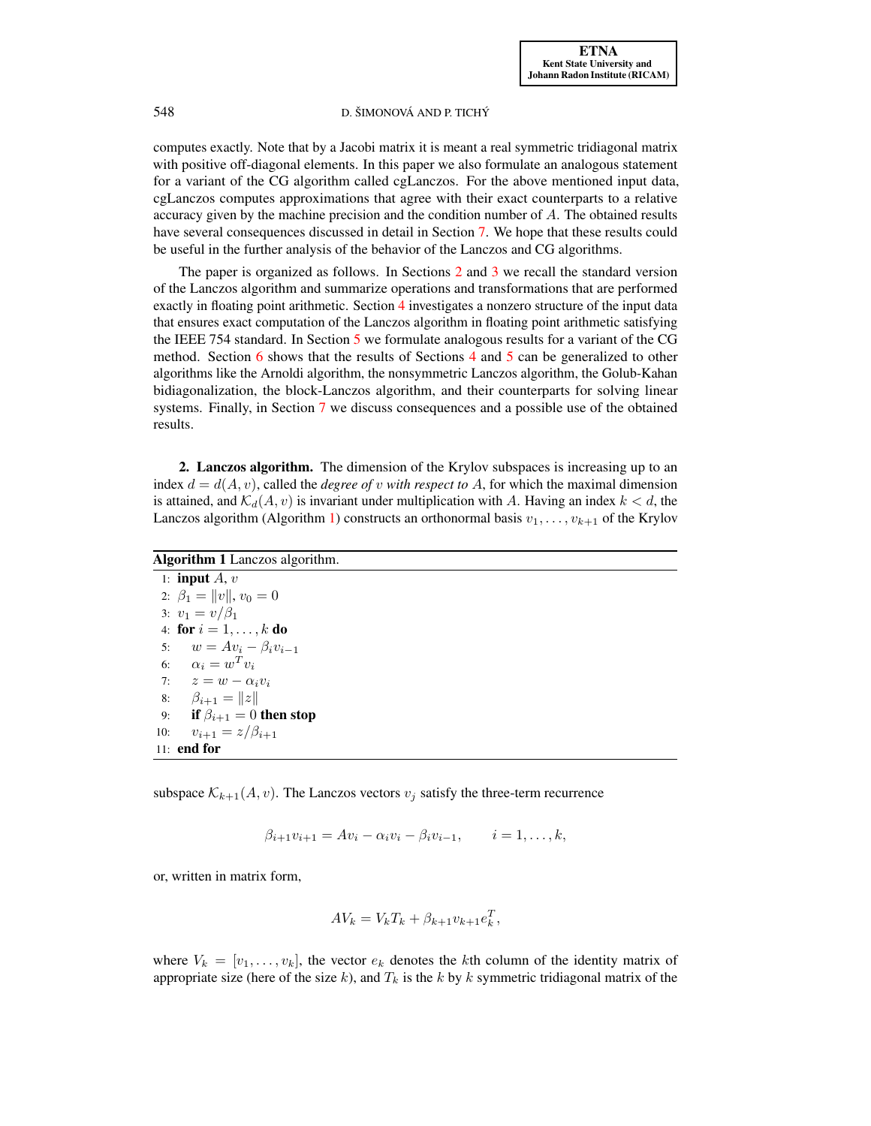computes exactly. Note that by a Jacobi matrix it is meant a real symmetric tridiagonal matrix with positive off-diagonal elements. In this paper we also formulate an analogous statement for a variant of the CG algorithm called cgLanczos. For the above mentioned input data, cgLanczos computes approximations that agree with their exact counterparts to a relative accuracy given by the machine precision and the condition number of  $A$ . The obtained results have several consequences discussed in detail in Section [7.](#page-16-0) We hope that these results could be useful in the further analysis of the behavior of the Lanczos and CG algorithms.

The paper is organized as follows. In Sections [2](#page-1-0) and [3](#page-2-0) we recall the standard version of the Lanczos algorithm and summarize operations and transformations that are performed exactly in floating point arithmetic. Section [4](#page-3-0) investigates a nonzero structure of the input data that ensures exact computation of the Lanczos algorithm in floating point arithmetic satisfying the IEEE 754 standard. In Section [5](#page-5-0) we formulate analogous results for a variant of the CG method. Section [6](#page-11-0) shows that the results of Sections [4](#page-3-0) and [5](#page-5-0) can be generalized to other algorithms like the Arnoldi algorithm, the nonsymmetric Lanczos algorithm, the Golub-Kahan bidiagonalization, the block-Lanczos algorithm, and their counterparts for solving linear systems. Finally, in Section [7](#page-16-0) we discuss consequences and a possible use of the obtained results.

<span id="page-1-0"></span>2. Lanczos algorithm. The dimension of the Krylov subspaces is increasing up to an index  $d = d(A, v)$ , called the *degree of v with respect to A*, for which the maximal dimension is attained, and  $\mathcal{K}_d(A, v)$  is invariant under multiplication with A. Having an index  $k < d$ , the Lanczos algorithm (Algorithm [1\)](#page-1-1) constructs an orthonormal basis  $v_1, \ldots, v_{k+1}$  of the Krylov

<span id="page-1-1"></span>

| <b>Algorithm 1</b> Lanczos algorithm. |
|---------------------------------------|
| 1: <b>input</b> $A, v$                |
| 2: $\beta_1 =   v  , v_0 = 0$         |
| 3: $v_1 = v/\beta_1$                  |
| 4: for $i = 1, , k$ do                |
| 5: $w = Av_i - \beta_i v_{i-1}$       |
| 6: $\alpha_i = w^T v_i$               |
| 7: $z = w - \alpha_i v_i$             |
| 8: $\beta_{i+1} =   z  $              |
| 9: if $\beta_{i+1} = 0$ then stop     |
| $v_{i+1} = z/\beta_{i+1}$<br>10:      |
| $11:$ end for                         |

subspace  $\mathcal{K}_{k+1}(A, v)$ . The Lanczos vectors  $v_j$  satisfy the three-term recurrence

$$
\beta_{i+1}v_{i+1} = Av_i - \alpha_i v_i - \beta_i v_{i-1}, \qquad i = 1, ..., k,
$$

or, written in matrix form,

$$
AV_k = V_k T_k + \beta_{k+1} v_{k+1} e_k^T,
$$

where  $V_k = [v_1, \ldots, v_k]$ , the vector  $e_k$  denotes the kth column of the identity matrix of appropriate size (here of the size k), and  $T_k$  is the k by k symmetric tridiagonal matrix of the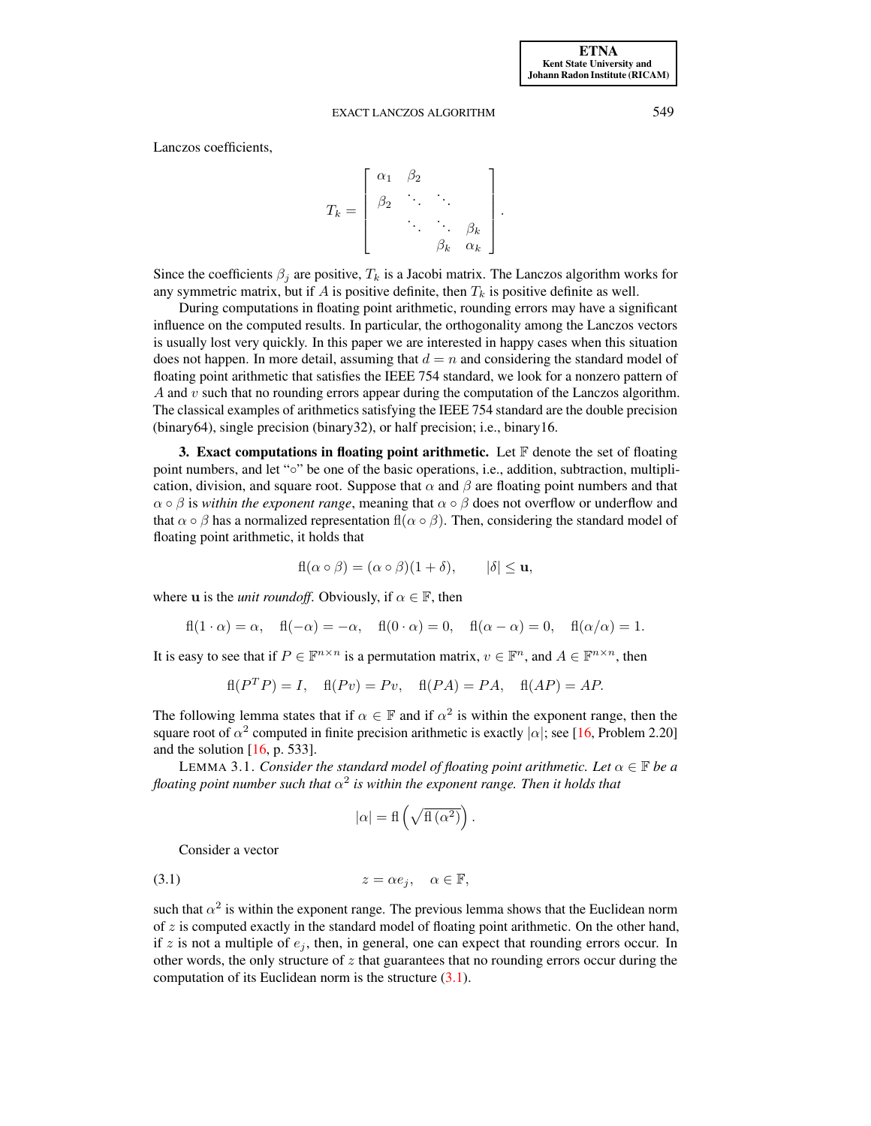Lanczos coefficients,

$$
T_k = \left[\begin{array}{cccc} \alpha_1 & \beta_2 & & \\ \beta_2 & \ddots & \ddots & \\ & \ddots & \ddots & \beta_k \\ & & \beta_k & \alpha_k \end{array}\right].
$$

Since the coefficients  $\beta_i$  are positive,  $T_k$  is a Jacobi matrix. The Lanczos algorithm works for any symmetric matrix, but if A is positive definite, then  $T_k$  is positive definite as well.

During computations in floating point arithmetic, rounding errors may have a significant influence on the computed results. In particular, the orthogonality among the Lanczos vectors is usually lost very quickly. In this paper we are interested in happy cases when this situation does not happen. In more detail, assuming that  $d = n$  and considering the standard model of floating point arithmetic that satisfies the IEEE 754 standard, we look for a nonzero pattern of A and v such that no rounding errors appear during the computation of the Lanczos algorithm. The classical examples of arithmetics satisfying the IEEE 754 standard are the double precision (binary64), single precision (binary32), or half precision; i.e., binary16.

<span id="page-2-0"></span>3. Exact computations in floating point arithmetic. Let  $\mathbb F$  denote the set of floating point numbers, and let "◦" be one of the basic operations, i.e., addition, subtraction, multiplication, division, and square root. Suppose that  $\alpha$  and  $\beta$  are floating point numbers and that  $\alpha \circ \beta$  is *within the exponent range*, meaning that  $\alpha \circ \beta$  does not overflow or underflow and that  $\alpha \circ \beta$  has a normalized representation fl( $\alpha \circ \beta$ ). Then, considering the standard model of floating point arithmetic, it holds that

$$
fl(\alpha \circ \beta) = (\alpha \circ \beta)(1 + \delta), \qquad |\delta| \le u,
$$

where **u** is the *unit roundoff*. Obviously, if  $\alpha \in \mathbb{F}$ , then

$$
fl(1 \cdot \alpha) = \alpha, \quad fl(-\alpha) = -\alpha, \quad fl(0 \cdot \alpha) = 0, \quad fl(\alpha - \alpha) = 0, \quad fl(\alpha/\alpha) = 1.
$$

It is easy to see that if  $P \in \mathbb{F}^{n \times n}$  is a permutation matrix,  $v \in \mathbb{F}^n$ , and  $A \in \mathbb{F}^{n \times n}$ , then

$$
fl(PTP) = I, \quad fl(Pv) = Pv, \quad fl(PA) = PA, \quad fl(AP) = AP.
$$

The following lemma states that if  $\alpha \in \mathbb{F}$  and if  $\alpha^2$  is within the exponent range, then the square root of  $\alpha^2$  computed in finite precision arithmetic is exactly  $|\alpha|$ ; see [\[16,](#page-20-12) Problem 2.20] and the solution  $[16, p. 533]$  $[16, p. 533]$ .

LEMMA 3.1. *Consider the standard model of floating point arithmetic. Let*  $\alpha \in \mathbb{F}$  *be a* floating point number such that  $\alpha^2$  is within the exponent range. Then it holds that

<span id="page-2-1"></span>
$$
|\alpha| = \text{fl}\left(\sqrt{\text{fl}\left(\alpha^2\right)}\right)
$$

.

Consider a vector

$$
(3.1) \t z = \alpha e_j, \quad \alpha \in \mathbb{F},
$$

such that  $\alpha^2$  is within the exponent range. The previous lemma shows that the Euclidean norm of  $z$  is computed exactly in the standard model of floating point arithmetic. On the other hand, if z is not a multiple of  $e_i$ , then, in general, one can expect that rounding errors occur. In other words, the only structure of  $z$  that guarantees that no rounding errors occur during the computation of its Euclidean norm is the structure  $(3.1)$ .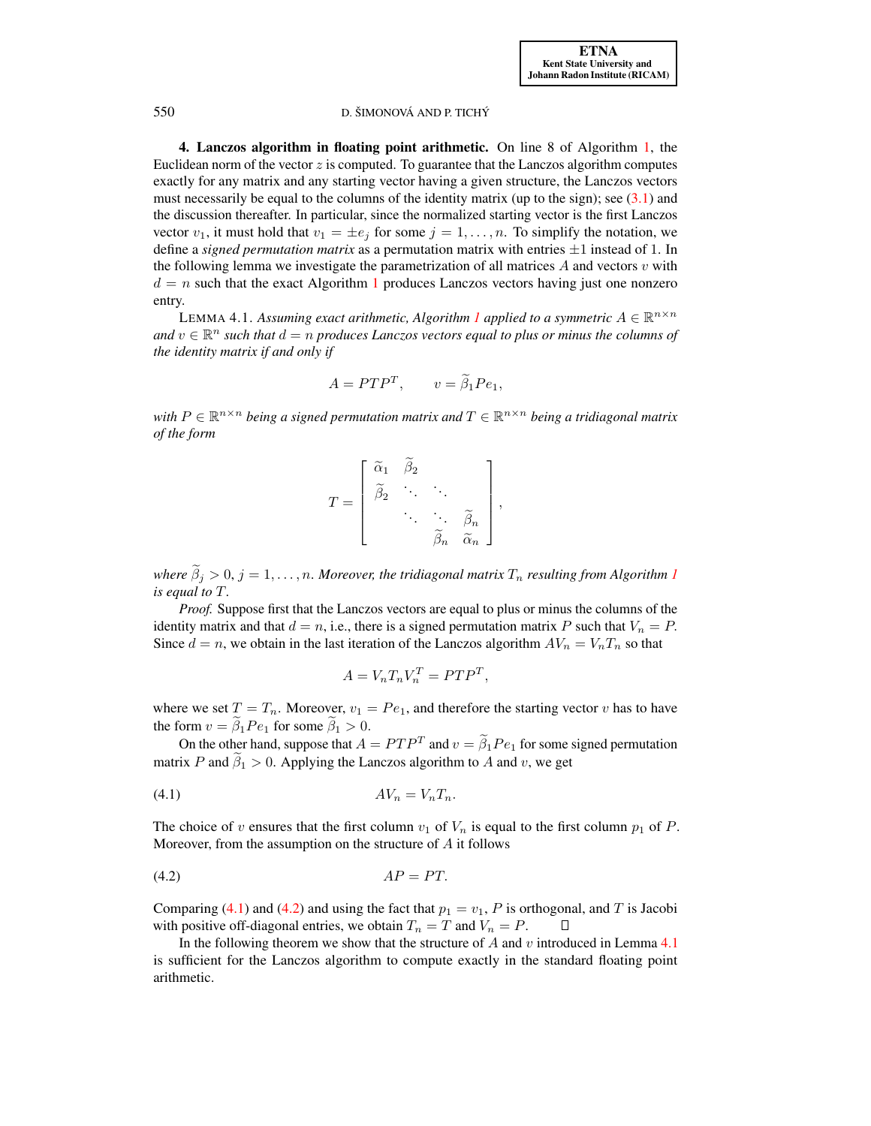<span id="page-3-0"></span>4. Lanczos algorithm in floating point arithmetic. On line 8 of Algorithm [1,](#page-1-1) the Euclidean norm of the vector  $z$  is computed. To guarantee that the Lanczos algorithm computes exactly for any matrix and any starting vector having a given structure, the Lanczos vectors must necessarily be equal to the columns of the identity matrix (up to the sign); see  $(3.1)$  and the discussion thereafter. In particular, since the normalized starting vector is the first Lanczos vector  $v_1$ , it must hold that  $v_1 = \pm e_j$  for some  $j = 1, \ldots, n$ . To simplify the notation, we define a *signed permutation matrix* as a permutation matrix with entries  $\pm 1$  instead of 1. In the following lemma we investigate the parametrization of all matrices  $A$  and vectors  $v$  with  $d = n$  such that the exact Algorithm [1](#page-1-1) produces Lanczos vectors having just one nonzero entry.

<span id="page-3-3"></span>LEMMA 4.[1](#page-1-1). Assuming exact arithmetic, Algorithm 1 applied to a symmetric  $A \in \mathbb{R}^{n \times n}$ and  $v \in \mathbb{R}^n$  such that  $d = n$  produces Lanczos vectors equal to plus or minus the columns of *the identity matrix if and only if*

$$
A = P T P^T, \qquad v = \tilde{\beta}_1 P e_1,
$$

with  $P \in \mathbb{R}^{n \times n}$  being a signed permutation matrix and  $T \in \mathbb{R}^{n \times n}$  being a tridiagonal matrix *of the form*

| $\widetilde{\alpha}_1$ | $\beta_2$ |           |                                            |  |
|------------------------|-----------|-----------|--------------------------------------------|--|
| $\beta_2$              |           |           |                                            |  |
|                        |           |           | $\mathfrak{s}_n$<br>$\widetilde{\alpha}_n$ |  |
|                        |           | $\beta_n$ |                                            |  |

*where*  $\widetilde{\beta}_i > 0$ ,  $j = 1, \ldots, n$  $j = 1, \ldots, n$  $j = 1, \ldots, n$ . *Moreover, the tridiagonal matrix*  $T_n$  *resulting from Algorithm 1 is equal to* T*.*

*Proof.* Suppose first that the Lanczos vectors are equal to plus or minus the columns of the identity matrix and that  $d = n$ , i.e., there is a signed permutation matrix P such that  $V_n = P$ . Since  $d = n$ , we obtain in the last iteration of the Lanczos algorithm  $AV_n = V_nT_n$  so that

$$
A = V_n T_n V_n^T = P T P^T
$$

<span id="page-3-2"></span><span id="page-3-1"></span>,

where we set  $T = T_n$ . Moreover,  $v_1 = Pe_1$ , and therefore the starting vector v has to have the form  $v = \tilde{\beta}_1 Pe_1$  for some  $\tilde{\beta}_1 > 0$ .

On the other hand, suppose that  $A = PTP^T$  and  $v = \beta_1 Pe_1$  for some signed permutation matrix P and  $\tilde{\beta}_1 > 0$ . Applying the Lanczos algorithm to A and v, we get

$$
(4.1) \t\t\t AVn = VnTn.
$$

The choice of v ensures that the first column  $v_1$  of  $V_n$  is equal to the first column  $p_1$  of  $P$ . Moreover, from the assumption on the structure of  $A$  it follows

$$
(4.2) \tAP = PT.
$$

Comparing [\(4.1\)](#page-3-1) and [\(4.2\)](#page-3-2) and using the fact that  $p_1 = v_1$ , P is orthogonal, and T is Jacobi with positive off-diagonal entries, we obtain  $T_n = T$  and  $V_n = P$ . Ц

In the following theorem we show that the structure of  $A$  and  $v$  introduced in Lemma [4.1](#page-3-3) is sufficient for the Lanczos algorithm to compute exactly in the standard floating point arithmetic.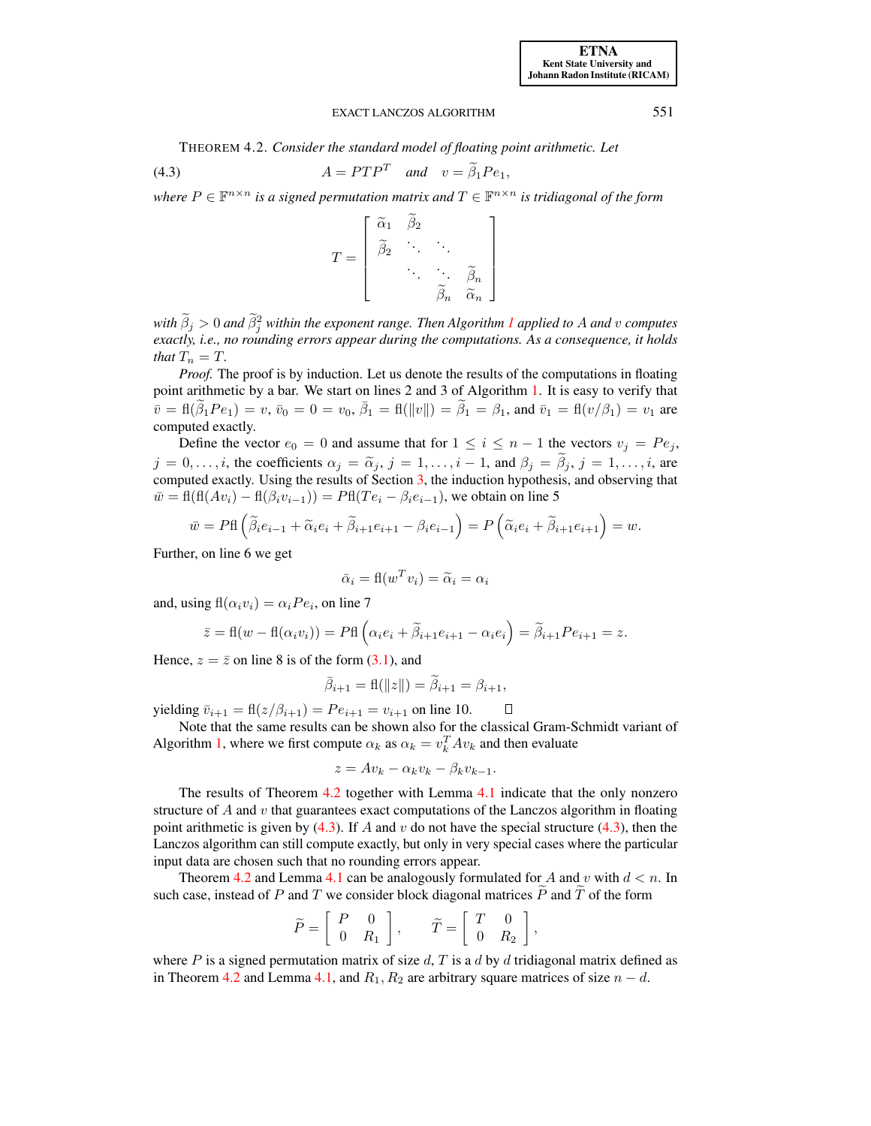<span id="page-4-0"></span>THEOREM 4.2. *Consider the standard model of floating point arithmetic. Let*

(4.3) 
$$
A = P T P^T \quad and \quad v = \tilde{\beta}_1 P e_1,
$$

where  $P \in \mathbb{F}^{n \times n}$  is a signed permutation matrix and  $T \in \mathbb{F}^{n \times n}$  is tridiagonal of the form



*with*  $\beta_j > 0$  *and*  $\beta_j^2$  *within the exponent range. Then Algorithm [1](#page-1-1) applied to A and v computes exactly, i.e., no rounding errors appear during the computations. As a consequence, it holds that*  $T_n = T$ *.* 

*Proof.* The proof is by induction. Let us denote the results of the computations in floating point arithmetic by a bar. We start on lines 2 and 3 of Algorithm [1.](#page-1-1) It is easy to verify that  $\bar{v} = \text{fl}(\tilde{\beta}_1 Pe_1) = v, \, \bar{v}_0 = 0 = v_0, \, \bar{\beta}_1 = \text{fl}(\|v\|) = \tilde{\beta}_1 = \beta_1, \, \text{and } \bar{v}_1 = \text{fl}(v/\beta_1) = v_1 \, \text{are}$ computed exactly.

Define the vector  $e_0 = 0$  and assume that for  $1 \le i \le n - 1$  the vectors  $v_j = Pe_j$ ,  $j = 0, \ldots, i$ , the coefficients  $\alpha_j = \tilde{\alpha}_j$ ,  $j = 1, \ldots, i - 1$ , and  $\beta_j = \tilde{\beta}_j$ ,  $j = 1, \ldots, i$ , are computed exactly. Using the results of Section [3,](#page-2-0) the induction hypothesis, and observing that  $\overline{w} = \text{fl}(\text{fl}(Av_i) - \text{fl}(\beta_i v_{i-1})) = \text{PH}(Te_i - \beta_i e_{i-1}),$  we obtain on line 5

$$
\bar{w} = P\mathbf{f} \left( \tilde{\beta}_i e_{i-1} + \tilde{\alpha}_i e_i + \tilde{\beta}_{i+1} e_{i+1} - \beta_i e_{i-1} \right) = P\left( \tilde{\alpha}_i e_i + \tilde{\beta}_{i+1} e_{i+1} \right) = w.
$$

Further, on line 6 we get

$$
\bar{\alpha}_i = \mathbf{f}(w^T v_i) = \tilde{\alpha}_i = \alpha_i
$$

and, using  $\mathbf{f}(\alpha_i v_i) = \alpha_i P e_i$ , on line 7

$$
\bar{z} = \text{fl}(w - \text{fl}(\alpha_i v_i)) = \text{PH}\left(\alpha_i e_i + \tilde{\beta}_{i+1} e_{i+1} - \alpha_i e_i\right) = \tilde{\beta}_{i+1} P e_{i+1} = z.
$$

Hence,  $z = \overline{z}$  on line 8 is of the form [\(3.1\)](#page-2-1), and

$$
\bar{\beta}_{i+1} = \text{fl}(\|z\|) = \tilde{\beta}_{i+1} = \beta_{i+1},
$$

yielding  $\bar{v}_{i+1} = \text{fl}(z/\beta_{i+1}) = Pe_{i+1} = v_{i+1}$  on line 10.  $\Box$ 

Note that the same results can be shown also for the classical Gram-Schmidt variant of Algorithm [1,](#page-1-1) where we first compute  $\alpha_k$  as  $\alpha_k = v_k^T A v_k$  and then evaluate

$$
z = Av_k - \alpha_k v_k - \beta_k v_{k-1}.
$$

The results of Theorem [4.2](#page-4-0) together with Lemma [4.1](#page-3-3) indicate that the only nonzero structure of  $A$  and  $v$  that guarantees exact computations of the Lanczos algorithm in floating point arithmetic is given by  $(4.3)$ . If A and v do not have the special structure  $(4.3)$ , then the Lanczos algorithm can still compute exactly, but only in very special cases where the particular input data are chosen such that no rounding errors appear.

Theorem [4.2](#page-4-0) and Lemma [4.1](#page-3-3) can be analogously formulated for A and v with  $d < n$ . In such case, instead of P and T we consider block diagonal matrices  $\tilde{P}$  and  $\tilde{T}$  of the form

$$
\widetilde{P} = \left[ \begin{array}{cc} P & 0 \\ 0 & R_1 \end{array} \right], \qquad \widetilde{T} = \left[ \begin{array}{cc} T & 0 \\ 0 & R_2 \end{array} \right],
$$

where P is a signed permutation matrix of size d, T is a d by d tridiagonal matrix defined as in Theorem [4.2](#page-4-0) and Lemma [4.1,](#page-3-3) and  $R_1, R_2$  are arbitrary square matrices of size  $n - d$ .

<span id="page-4-1"></span>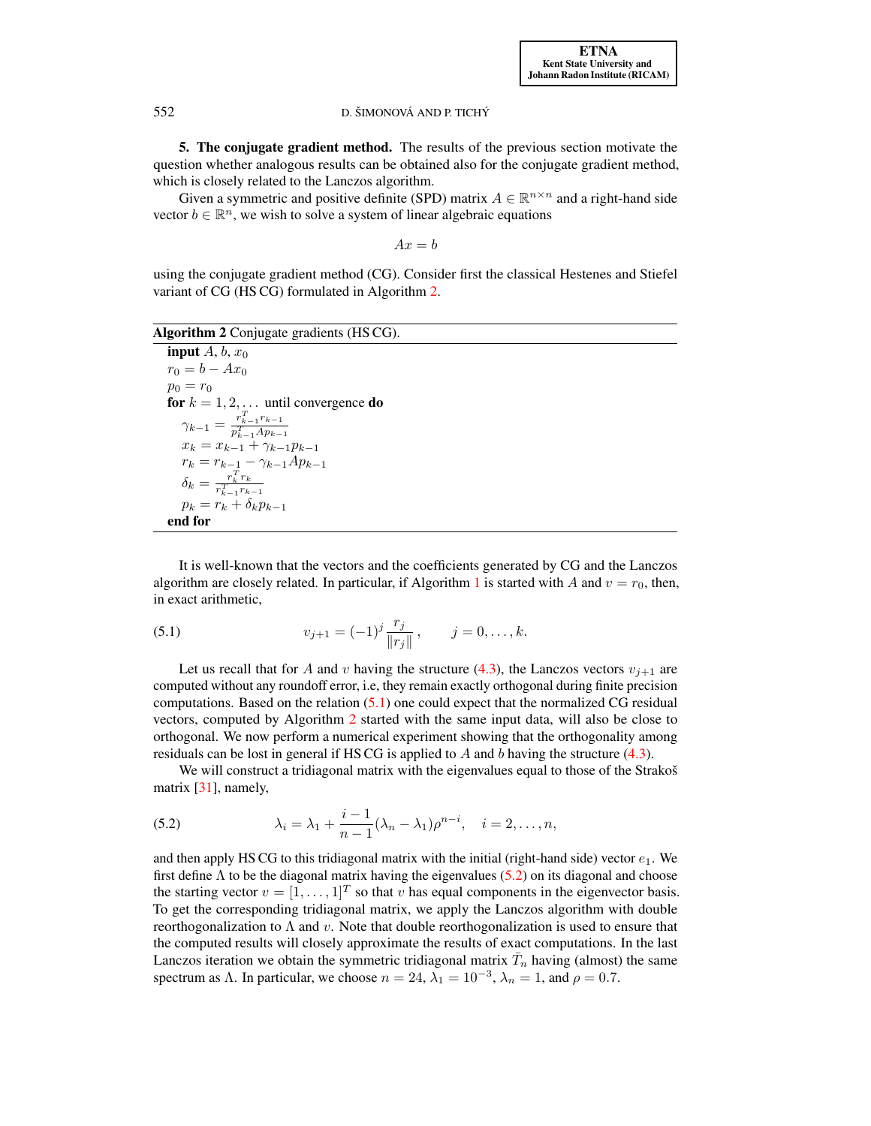<span id="page-5-0"></span>5. The conjugate gradient method. The results of the previous section motivate the question whether analogous results can be obtained also for the conjugate gradient method, which is closely related to the Lanczos algorithm.

Given a symmetric and positive definite (SPD) matrix  $A \in \mathbb{R}^{n \times n}$  and a right-hand side vector  $b \in \mathbb{R}^n$ , we wish to solve a system of linear algebraic equations

$$
Ax = b
$$

using the conjugate gradient method (CG). Consider first the classical Hestenes and Stiefel variant of CG (HS CG) formulated in Algorithm [2.](#page-5-1)

Algorithm 2 Conjugate gradients (HSCG).

<span id="page-5-1"></span>input  $A, b, x_0$  $r_0 = b - Ax_0$  $p_0 = r_0$ for  $k = 1, 2, \ldots$  until convergence do  $\gamma_{k-1} = \frac{r_{k-1}^T r_{k-1}}{n^T A n_k}$  $\frac{y_{k-1} - \overline{p_{k-1}^T A p_{k-1}}}{x_k = x_{k-1} + \gamma_{k-1} p_{k-1}}$  $r_k = r_{k-1} - \gamma_{k-1}Ap_{k-1}$  $\delta_k = \frac{r_k^T r_k}{r^T - r_k}$  $r_{k-1}^T r_{k-1}$  $p_k = r_k + \delta_k p_{k-1}$ end for

<span id="page-5-2"></span>It is well-known that the vectors and the coefficients generated by CG and the Lanczos algorithm are closely related. In particular, if Algorithm [1](#page-1-1) is started with A and  $v = r_0$ , then, in exact arithmetic,

(5.1) 
$$
v_{j+1} = (-1)^j \frac{r_j}{\|r_j\|}, \qquad j = 0, \dots, k.
$$

Let us recall that for A and v having the structure [\(4.3\)](#page-4-1), the Lanczos vectors  $v_{i+1}$  are computed without any roundoff error, i.e, they remain exactly orthogonal during finite precision computations. Based on the relation [\(5.1\)](#page-5-2) one could expect that the normalized CG residual vectors, computed by Algorithm [2](#page-5-1) started with the same input data, will also be close to orthogonal. We now perform a numerical experiment showing that the orthogonality among residuals can be lost in general if HS CG is applied to  $\hat{A}$  and  $\hat{b}$  having the structure [\(4.3\)](#page-4-1).

<span id="page-5-3"></span>We will construct a tridiagonal matrix with the eigenvalues equal to those of the Strakoš matrix [\[31\]](#page-20-7), namely,

(5.2) 
$$
\lambda_i = \lambda_1 + \frac{i-1}{n-1}(\lambda_n - \lambda_1)\rho^{n-i}, \quad i = 2, ..., n,
$$

and then apply HS CG to this tridiagonal matrix with the initial (right-hand side) vector  $e_1$ . We first define  $\Lambda$  to be the diagonal matrix having the eigenvalues [\(5.2\)](#page-5-3) on its diagonal and choose the starting vector  $v = [1, \dots, 1]^T$  so that v has equal components in the eigenvector basis. To get the corresponding tridiagonal matrix, we apply the Lanczos algorithm with double reorthogonalization to  $\Lambda$  and v. Note that double reorthogonalization is used to ensure that the computed results will closely approximate the results of exact computations. In the last Lanczos iteration we obtain the symmetric tridiagonal matrix  $\bar{T}_n$  having (almost) the same spectrum as  $\Lambda$ . In particular, we choose  $n = 24$ ,  $\lambda_1 = 10^{-3}$ ,  $\lambda_n = 1$ , and  $\rho = 0.7$ .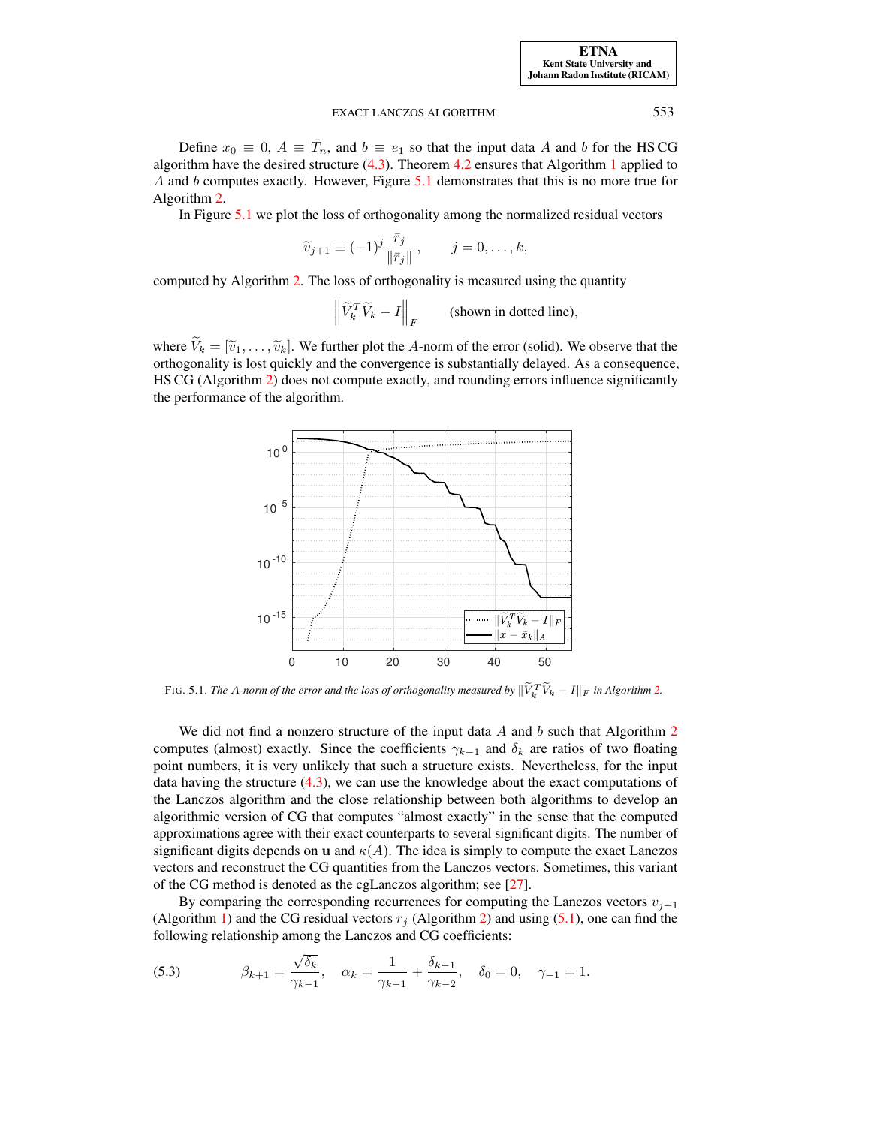Define  $x_0 \equiv 0$ ,  $A \equiv \overline{T}_n$ , and  $b \equiv e_1$  so that the input data A and b for the HSCG algorithm have the desired structure  $(4.3)$ . Theorem [4.2](#page-4-0) ensures that Algorithm [1](#page-1-1) applied to A and b computes exactly. However, Figure  $5.1$  demonstrates that this is no more true for Algorithm [2.](#page-5-1)

In Figure [5.1](#page-6-0) we plot the loss of orthogonality among the normalized residual vectors

$$
\widetilde{v}_{j+1} \equiv (-1)^j \frac{\bar{r}_j}{\|\bar{r}_j\|}, \qquad j = 0, \dots, k,
$$

computed by Algorithm [2.](#page-5-1) The loss of orthogonality is measured using the quantity

 $\left\|\widetilde{V}_k^T \widetilde{V}_k - I\right\|_F$ (shown in dotted line),

where  $\widetilde{V}_k = [\widetilde{v}_1, \ldots, \widetilde{v}_k]$ . We further plot the A-norm of the error (solid). We observe that the orthogonality is lost quickly and the convergence is substantially delayed. As a consequence, HS CG (Algorithm [2\)](#page-5-1) does not compute exactly, and rounding errors influence significantly the performance of the algorithm.



<span id="page-6-0"></span>FIG. 5.1. *The A-norm of the error and the loss of orthogonality measured by*  $\|\widetilde{V}_k^T \widetilde{V}_k - I\|_F$  *in Algorithm [2.](#page-5-1)* 

We did not find a nonzero structure of the input data  $A$  and  $b$  such that Algorithm [2](#page-5-1) computes (almost) exactly. Since the coefficients  $\gamma_{k-1}$  and  $\delta_k$  are ratios of two floating point numbers, it is very unlikely that such a structure exists. Nevertheless, for the input data having the structure  $(4.3)$ , we can use the knowledge about the exact computations of the Lanczos algorithm and the close relationship between both algorithms to develop an algorithmic version of CG that computes "almost exactly" in the sense that the computed approximations agree with their exact counterparts to several significant digits. The number of significant digits depends on u and  $\kappa(A)$ . The idea is simply to compute the exact Lanczos vectors and reconstruct the CG quantities from the Lanczos vectors. Sometimes, this variant of the CG method is denoted as the cgLanczos algorithm; see [\[27\]](#page-20-13).

By comparing the corresponding recurrences for computing the Lanczos vectors  $v_{i+1}$ (Algorithm [1\)](#page-1-1) and the CG residual vectors  $r_j$  (Algorithm [2\)](#page-5-1) and using [\(5.1\)](#page-5-2), one can find the following relationship among the Lanczos and CG coefficients:

<span id="page-6-1"></span>(5.3) 
$$
\beta_{k+1} = \frac{\sqrt{\delta_k}}{\gamma_{k-1}}, \quad \alpha_k = \frac{1}{\gamma_{k-1}} + \frac{\delta_{k-1}}{\gamma_{k-2}}, \quad \delta_0 = 0, \quad \gamma_{-1} = 1.
$$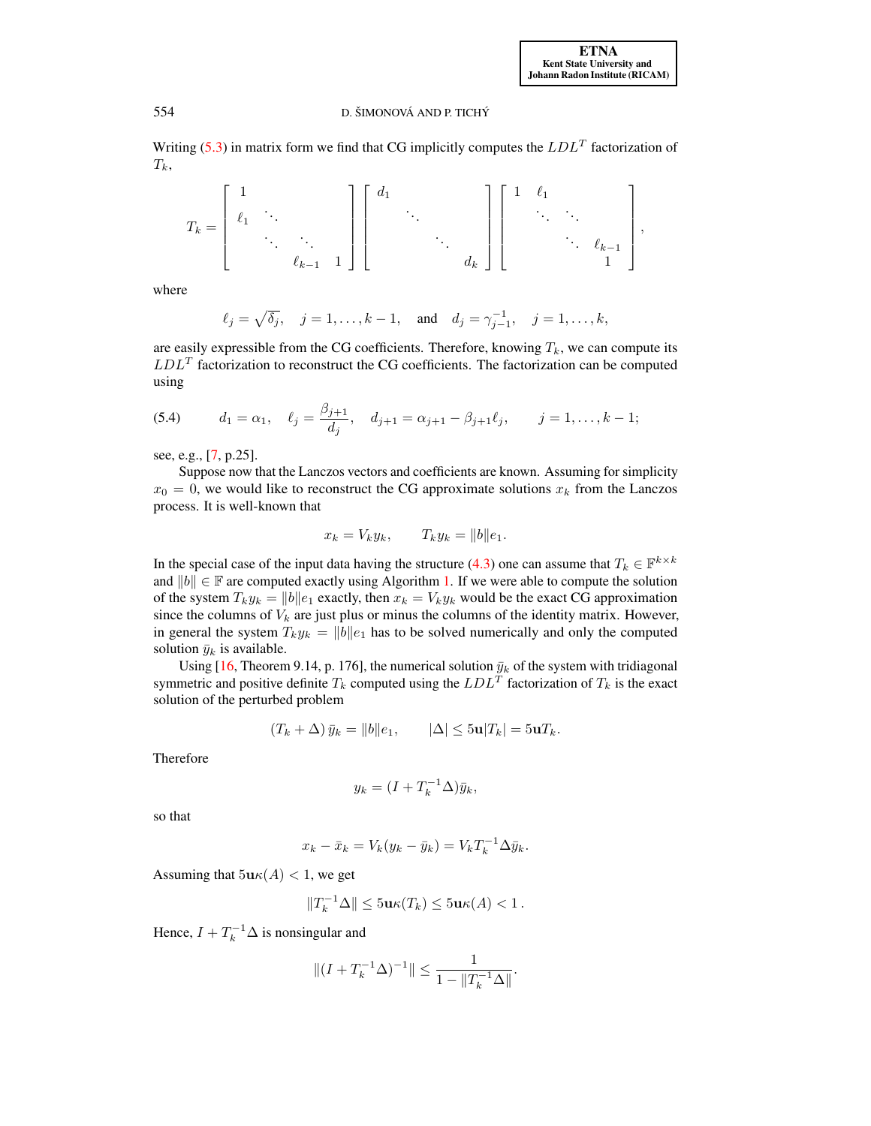Writing [\(5.3\)](#page-6-1) in matrix form we find that CG implicitly computes the  $LDL<sup>T</sup>$  factorization of  $T_k$ ,

$$
T_k=\left[\begin{array}{cccc}1 & & & \\ \ell_1 & \ddots & & \\ & \ddots & \ddots & \\ & & \ell_{k-1} & 1\end{array}\right]\left[\begin{array}{cccc}d_1 & & & \\ & \ddots & & \\ & & \ddots & \\ & & & d_k\end{array}\right]\left[\begin{array}{cccc}1 & \ell_1 & & \\ & \ddots & \ddots & \\ & & \ddots & \ell_{k-1} \\ & & & 1\end{array}\right],
$$

where

$$
\ell_j = \sqrt{\delta_j}, \quad j = 1, ..., k - 1, \text{ and } d_j = \gamma_{j-1}^{-1}, \quad j = 1, ..., k,
$$

<span id="page-7-0"></span>are easily expressible from the CG coefficients. Therefore, knowing  $T_k$ , we can compute its  $LDL<sup>T</sup>$  factorization to reconstruct the CG coefficients. The factorization can be computed using

(5.4) 
$$
d_1 = \alpha_1, \quad \ell_j = \frac{\beta_{j+1}}{d_j}, \quad d_{j+1} = \alpha_{j+1} - \beta_{j+1} \ell_j, \quad j = 1, ..., k-1;
$$

see, e.g., [\[7,](#page-19-1) p.25].

Suppose now that the Lanczos vectors and coefficients are known. Assuming for simplicity  $x_0 = 0$ , we would like to reconstruct the CG approximate solutions  $x_k$  from the Lanczos process. It is well-known that

$$
x_k = V_k y_k, \qquad T_k y_k = ||b|| e_1.
$$

In the special case of the input data having the structure [\(4.3\)](#page-4-1) one can assume that  $T_k \in \mathbb{F}^{k \times k}$ and  $||b|| \in \mathbb{F}$  are computed exactly using Algorithm [1.](#page-1-1) If we were able to compute the solution of the system  $T_k y_k = ||b||e_1$  exactly, then  $x_k = V_k y_k$  would be the exact CG approximation since the columns of  $V_k$  are just plus or minus the columns of the identity matrix. However, in general the system  $T_k y_k = ||b||e_1$  has to be solved numerically and only the computed solution  $\bar{y}_k$  is available.

Using [\[16,](#page-20-12) Theorem 9.14, p. 176], the numerical solution  $\bar{y}_k$  of the system with tridiagonal symmetric and positive definite  $T_k$  computed using the  $LDL<sup>T</sup>$  factorization of  $T_k$  is the exact solution of the perturbed problem

$$
(T_k + \Delta) \bar{y}_k = ||b||e_1, \qquad |\Delta| \le 5\mathbf{u}|T_k| = 5\mathbf{u}T_k.
$$

Therefore

$$
y_k = (I + T_k^{-1} \Delta) \bar{y}_k,
$$

so that

$$
x_k - \bar{x}_k = V_k(y_k - \bar{y}_k) = V_k T_k^{-1} \Delta \bar{y}_k.
$$

Assuming that  $5u\kappa(A) < 1$ , we get

$$
||T_k^{-1}\Delta|| \leq 5\mathbf{u}\kappa(T_k) \leq 5\mathbf{u}\kappa(A) < 1.
$$

Hence,  $I + T_k^{-1} \Delta$  is nonsingular and

$$
\|(I+T_k^{-1}\Delta)^{-1}\|\leq \frac{1}{1-\|T_k^{-1}\Delta\|}.
$$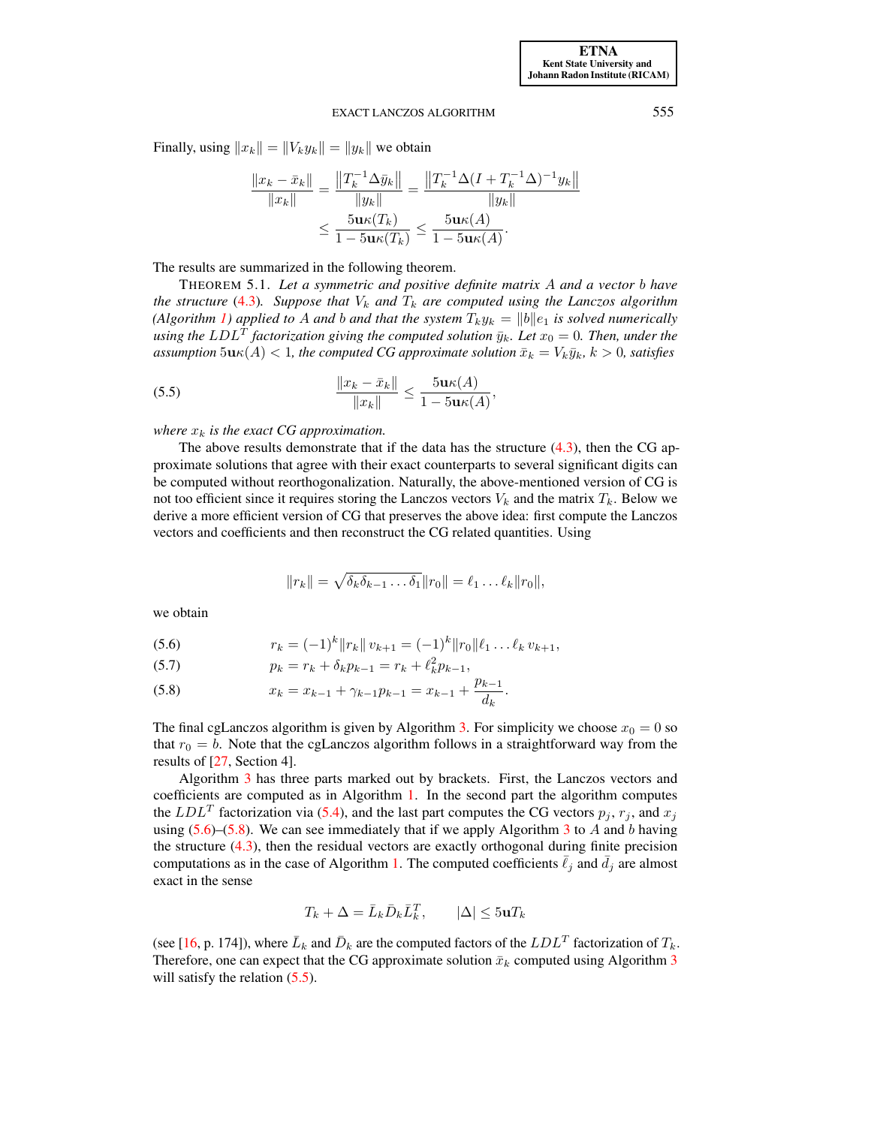Finally, using  $||x_k|| = ||V_ky_k|| = ||y_k||$  we obtain

$$
\frac{\|x_k - \bar{x}_k\|}{\|x_k\|} = \frac{\|T_k^{-1} \Delta \bar{y}_k\|}{\|y_k\|} = \frac{\|T_k^{-1} \Delta (I + T_k^{-1} \Delta)^{-1} y_k\|}{\|y_k\|}
$$

$$
\leq \frac{5 \mathbf{u} \kappa (T_k)}{1 - 5 \mathbf{u} \kappa (T_k)} \leq \frac{5 \mathbf{u} \kappa (A)}{1 - 5 \mathbf{u} \kappa (A)}.
$$

The results are summarized in the following theorem.

<span id="page-8-2"></span>THEOREM 5.1. *Let a symmetric and positive definite matrix* A *and a vector* b *have the structure* [\(4.3\)](#page-4-1). Suppose that  $V_k$  and  $T_k$  are computed using the Lanczos algorithm *(Algorithm [1\)](#page-1-1) applied to A and b and that the system*  $T_k y_k = ||b||e_1$  *is solved numerically* using the  $LDL<sup>T</sup>$  factorization giving the computed solution  $\bar{y}_k$ *. Let*  $x_0 = 0$ *. Then, under the assumption*  $5\mathbf{u}\kappa(A) < 1$ , the computed CG approximate solution  $\bar{x}_k = V_k\bar{y}_k$ ,  $k > 0$ , satisfies

(5.5) 
$$
\frac{\|x_k - \bar{x}_k\|}{\|x_k\|} \le \frac{5\mathbf{u}\kappa(A)}{1 - 5\mathbf{u}\kappa(A)},
$$

*where*  $x_k$  *is the exact CG approximation.* 

The above results demonstrate that if the data has the structure  $(4.3)$ , then the CG approximate solutions that agree with their exact counterparts to several significant digits can be computed without reorthogonalization. Naturally, the above-mentioned version of CG is not too efficient since it requires storing the Lanczos vectors  $V_k$  and the matrix  $T_k$ . Below we derive a more efficient version of CG that preserves the above idea: first compute the Lanczos vectors and coefficients and then reconstruct the CG related quantities. Using

<span id="page-8-0"></span>
$$
||r_k|| = \sqrt{\delta_k \delta_{k-1} \dots \delta_1} ||r_0|| = \ell_1 \dots \ell_k ||r_0||,
$$

we obtain

(5.6) 
$$
r_k = (-1)^k ||r_k|| v_{k+1} = (-1)^k ||r_0|| \ell_1 \dots \ell_k v_{k+1},
$$

(5.7) 
$$
p_k = r_k + \delta_k p_{k-1} = r_k + \ell_k^2 p_{k-1},
$$

(5.8) 
$$
x_k = x_{k-1} + \gamma_{k-1} p_{k-1} = x_{k-1} + \frac{p_{k-1}}{d_k}.
$$

The final cgLanczos algorithm is given by Algorithm [3.](#page-9-0) For simplicity we choose  $x_0 = 0$  so that  $r_0 = b$ . Note that the cgLanczos algorithm follows in a straightforward way from the results of [\[27,](#page-20-13) Section 4].

Algorithm [3](#page-9-0) has three parts marked out by brackets. First, the Lanczos vectors and coefficients are computed as in Algorithm [1.](#page-1-1) In the second part the algorithm computes the  $LDL<sup>T</sup>$  factorization via [\(5.4\)](#page-7-0), and the last part computes the CG vectors  $p_j$ ,  $r_j$ , and  $x_j$ using  $(5.6)$ – $(5.8)$ . We can see immediately that if we apply Algorithm [3](#page-9-0) to A and b having the structure  $(4.3)$ , then the residual vectors are exactly orthogonal during finite precision computations as in the case of Algorithm [1.](#page-1-1) The computed coefficients  $\ell_j$  and  $\bar{d}_j$  are almost exact in the sense

$$
T_k + \Delta = \bar{L}_k \bar{D}_k \bar{L}_k^T, \qquad |\Delta| \le 5 \mathbf{u} T_k
$$

(see [\[16,](#page-20-12) p. 174]), where  $\bar{L}_k$  and  $\bar{D}_k$  are the computed factors of the  $LDL^T$  factorization of  $T_k$ . Therefore, one can expect that the CG approximate solution  $\bar{x}_k$  computed using Algorithm [3](#page-9-0) will satisfy the relation  $(5.5)$ .

<span id="page-8-1"></span>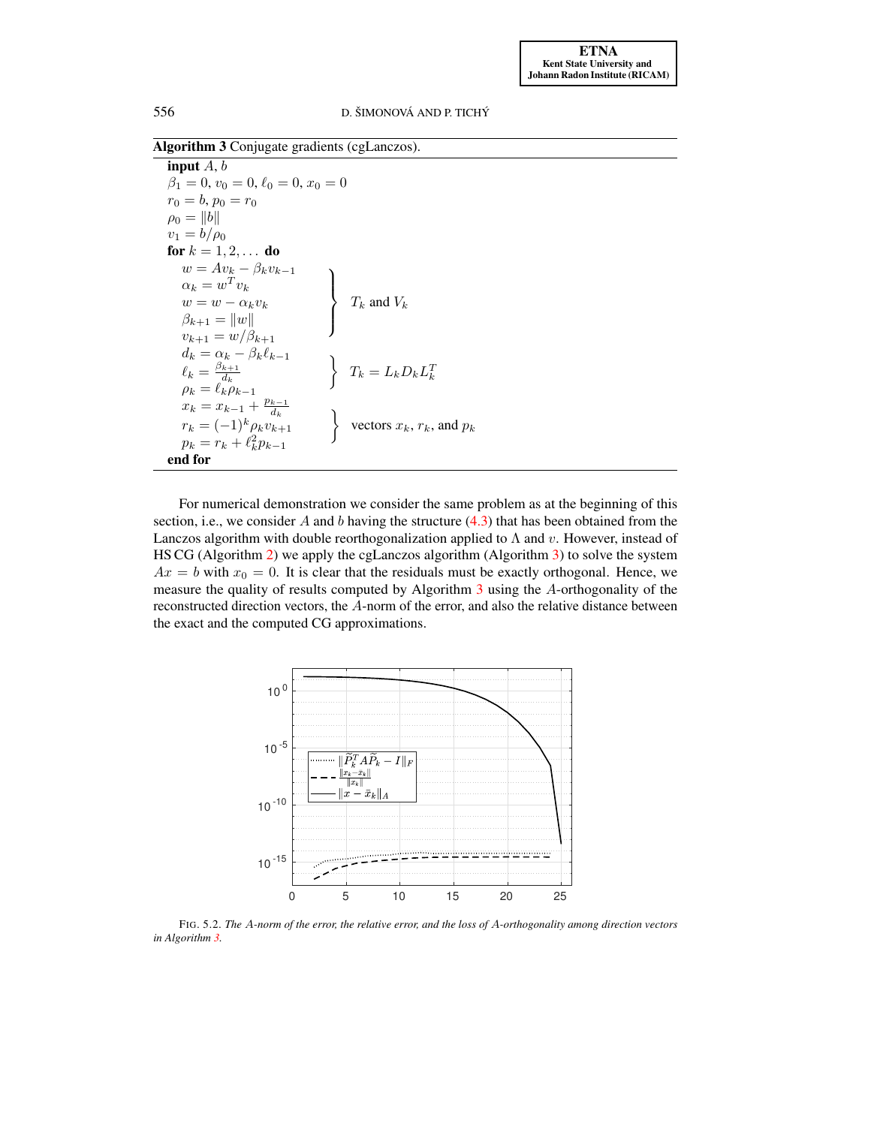Algorithm 3 Conjugate gradients (cgLanczos).

<span id="page-9-0"></span>input  $A, b$  $\beta_1 = 0, v_0 = 0, \ell_0 = 0, x_0 = 0$  $r_0 = b, p_0 = r_0$  $\rho_0 = \|b\|$  $v_1 = b/\rho_0$ **for**  $k = 1, 2, ...$  **do**  $w = Av_k - \beta_k v_{k-1}$  $\alpha_k = w^T v_k$  $w = w - \alpha_k v_k$  $\mathcal{L}$  $\overline{\mathcal{L}}$  $\int$  $T_k$  and  $V_k$  $\beta_{k+1} = ||w||$  $v_{k+1} = w/\beta_{k+1}$  $d_k = \alpha_k - \beta_k \ell_{k-1}$  $\ell_k = \frac{\beta_{k+1}}{d_k}$  $\mu_k = \ell_k^d$ <br>  $\rho_k = \ell_k^d \rho_{k-1}$  $\left\{\n\begin{array}{l}\nT_k = L_k D_k L_k^T\n\end{array}\n\right.$  $x_k = x_{k-1} + \frac{p_{k-1}}{d_k}$  $\begin{cases} x_k - x_{k-1} & d_k \\ r_k = (-1)^k \rho_k v_{k+1} \end{cases}$ vectors  $x_k$ ,  $r_k$ , and  $p_k$  $p_k = r_k + \ell_k^2 p_{k-1}$ end for

For numerical demonstration we consider the same problem as at the beginning of this section, i.e., we consider A and b having the structure  $(4.3)$  that has been obtained from the Lanczos algorithm with double reorthogonalization applied to  $\Lambda$  and v. However, instead of HS CG (Algorithm [2\)](#page-5-1) we apply the cgLanczos algorithm (Algorithm [3\)](#page-9-0) to solve the system  $Ax = b$  with  $x_0 = 0$ . It is clear that the residuals must be exactly orthogonal. Hence, we measure the quality of results computed by Algorithm [3](#page-9-0) using the A-orthogonality of the reconstructed direction vectors, the A-norm of the error, and also the relative distance between the exact and the computed CG approximations.



<span id="page-9-1"></span>FIG. 5.2. *The* A*-norm of the error, the relative error, and the loss of* A*-orthogonality among direction vectors in Algorithm [3.](#page-9-0)*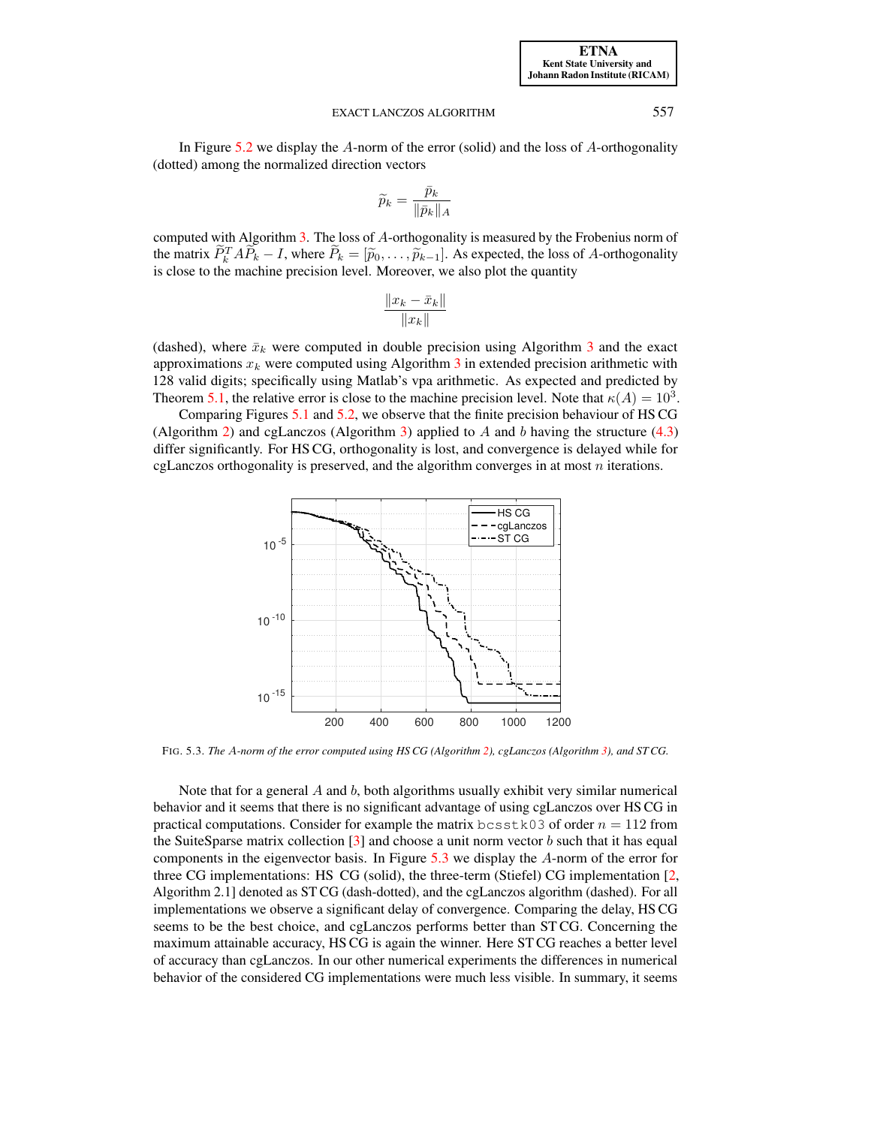In Figure [5.2](#page-9-1) we display the  $A$ -norm of the error (solid) and the loss of  $A$ -orthogonality (dotted) among the normalized direction vectors

$$
\widetilde{p}_k = \frac{\bar{p}_k}{\|\bar{p}_k\|_A}
$$

computed with Algorithm [3.](#page-9-0) The loss of A-orthogonality is measured by the Frobenius norm of the matrix  $\overline{P}_k^T A \overline{P}_k - I$ , where  $\overline{P}_k = [\widetilde{p}_0, \dots, \widetilde{p}_{k-1}]$ . As expected, the loss of A-orthogonality is close to the machine precision layel. Moreover we also plot the quantity is close to the machine precision level. Moreover, we also plot the quantity

$$
\frac{\|x_k - \bar{x}_k\|}{\|x_k\|}
$$

(dashed), where  $\bar{x}_k$  were computed in double precision using Algorithm [3](#page-9-0) and the exact approximations  $x_k$  were computed using Algorithm [3](#page-9-0) in extended precision arithmetic with 128 valid digits; specifically using Matlab's vpa arithmetic. As expected and predicted by Theorem [5.1,](#page-8-2) the relative error is close to the machine precision level. Note that  $\kappa(A) = 10^3$ .

Comparing Figures [5.1](#page-6-0) and [5.2,](#page-9-1) we observe that the finite precision behaviour of HS CG (Algorithm [2\)](#page-5-1) and cgLanczos (Algorithm [3\)](#page-9-0) applied to A and b having the structure  $(4.3)$ differ significantly. For HS CG, orthogonality is lost, and convergence is delayed while for cgLanczos orthogonality is preserved, and the algorithm converges in at most  $n$  iterations.



<span id="page-10-0"></span>FIG. 5.3. *The* A*-norm of the error computed using HS CG (Algorithm [2\)](#page-5-1), cgLanczos (Algorithm [3\)](#page-9-0), and ST CG.*

Note that for a general  $A$  and  $b$ , both algorithms usually exhibit very similar numerical behavior and it seems that there is no significant advantage of using cgLanczos over HS CG in practical computations. Consider for example the matrix bcsstk03 of order  $n = 112$  from the SuiteSparse matrix collection  $\lceil 3 \rceil$  and choose a unit norm vector b such that it has equal components in the eigenvector basis. In Figure [5.3](#page-10-0) we display the A-norm of the error for three CG implementations: HS CG (solid), the three-term (Stiefel) CG implementation [\[2,](#page-19-3) Algorithm 2.1] denoted as ST CG (dash-dotted), and the cgLanczos algorithm (dashed). For all implementations we observe a significant delay of convergence. Comparing the delay, HS CG seems to be the best choice, and cgLanczos performs better than ST CG. Concerning the maximum attainable accuracy, HS CG is again the winner. Here ST CG reaches a better level of accuracy than cgLanczos. In our other numerical experiments the differences in numerical behavior of the considered CG implementations were much less visible. In summary, it seems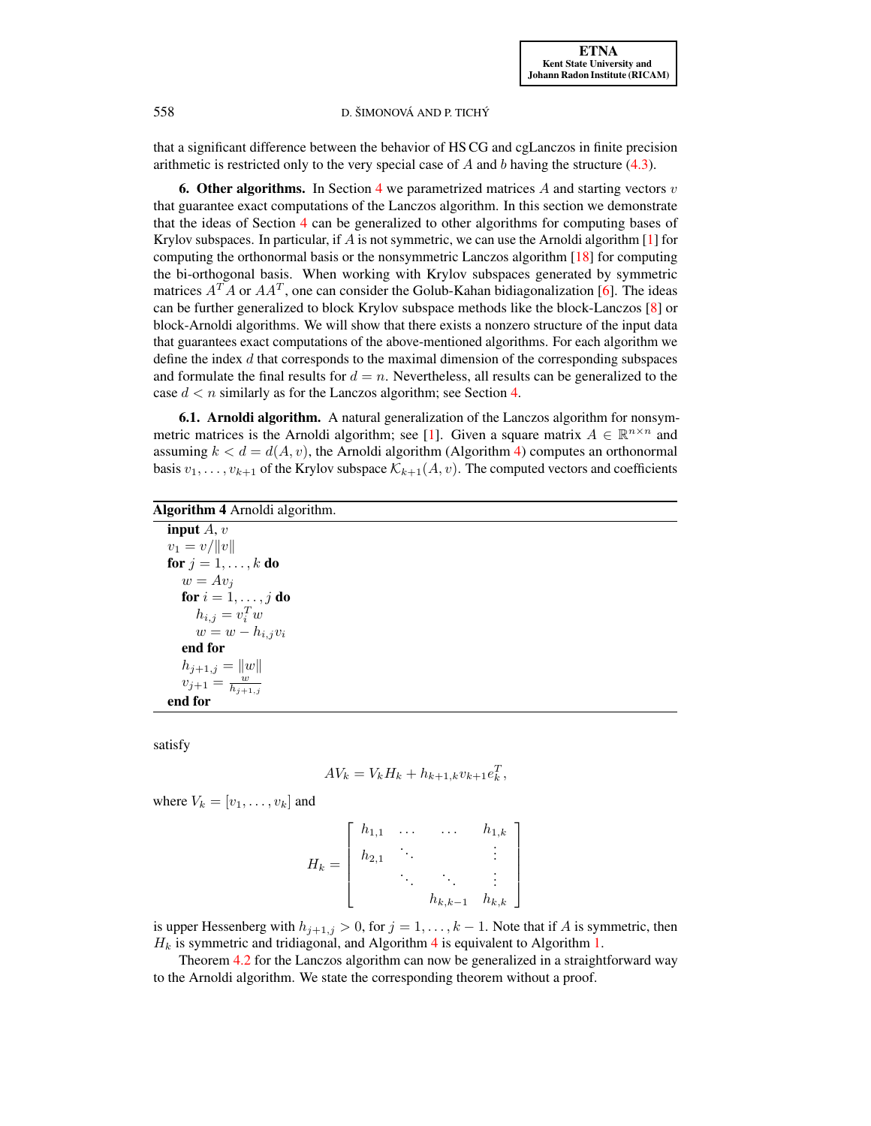that a significant difference between the behavior of HS CG and cgLanczos in finite precision arithmetic is restricted only to the very special case of  $A$  and  $b$  having the structure [\(4.3\)](#page-4-1).

<span id="page-11-0"></span>**6. Other algorithms.** In Section [4](#page-3-0) we parametrized matrices A and starting vectors  $v$ that guarantee exact computations of the Lanczos algorithm. In this section we demonstrate that the ideas of Section [4](#page-3-0) can be generalized to other algorithms for computing bases of Krylov subspaces. In particular, if A is not symmetric, we can use the Arnoldi algorithm  $[1]$  for computing the orthonormal basis or the nonsymmetric Lanczos algorithm [\[18\]](#page-20-1) for computing the bi-orthogonal basis. When working with Krylov subspaces generated by symmetric matrices  $A^T A$  or  $A A^T$ , one can consider the Golub-Kahan bidiagonalization [\[6\]](#page-19-5). The ideas can be further generalized to block Krylov subspace methods like the block-Lanczos [\[8\]](#page-19-6) or block-Arnoldi algorithms. We will show that there exists a nonzero structure of the input data that guarantees exact computations of the above-mentioned algorithms. For each algorithm we define the index  $d$  that corresponds to the maximal dimension of the corresponding subspaces and formulate the final results for  $d = n$ . Nevertheless, all results can be generalized to the case  $d < n$  similarly as for the Lanczos algorithm; see Section [4.](#page-3-0)

<span id="page-11-2"></span>6.1. Arnoldi algorithm. A natural generalization of the Lanczos algorithm for nonsym-metric matrices is the Arnoldi algorithm; see [\[1\]](#page-19-4). Given a square matrix  $A \in \mathbb{R}^{n \times n}$  and assuming  $k < d = d(A, v)$ , the Arnoldi algorithm (Algorithm [4\)](#page-11-1) computes an orthonormal basis  $v_1, \ldots, v_{k+1}$  of the Krylov subspace  $\mathcal{K}_{k+1}(A, v)$ . The computed vectors and coefficients

<span id="page-11-1"></span>

| <b>Algorithm 4</b> Arnoldi algorithm. |
|---------------------------------------|
| input $A, v$                          |
| $v_1 = v /   v  $                     |
| for $j = 1, \ldots, k$ do             |
| $w = Av_i$                            |
| for $i = 1, \ldots, j$ do             |
| $h_{i,j} = v_i^T w$                   |
| $w=w-h_{i,j}v_i$                      |
| end for                               |
| $h_{j+1,j} =   w  $                   |
| $v_{j+1} = \frac{w}{h_{j+1,j}}$       |
| end for                               |

satisfy

$$
AV_k = V_k H_k + h_{k+1,k} v_{k+1} e_k^T,
$$

where  $V_k = [v_1, \ldots, v_k]$  and

$$
H_k = \left[ \begin{array}{cccc} h_{1,1} & \dots & \dots & h_{1,k} \\ h_{2,1} & \ddots & & \vdots \\ & \ddots & \ddots & \vdots \\ & & h_{k,k-1} & h_{k,k} \end{array} \right]
$$

is upper Hessenberg with  $h_{j+1,j} > 0$ , for  $j = 1, ..., k - 1$ . Note that if A is symmetric, then  $H_k$  is symmetric and tridiagonal, and Algorithm [4](#page-11-1) is equivalent to Algorithm [1.](#page-1-1)

Theorem [4.2](#page-4-0) for the Lanczos algorithm can now be generalized in a straightforward way to the Arnoldi algorithm. We state the corresponding theorem without a proof.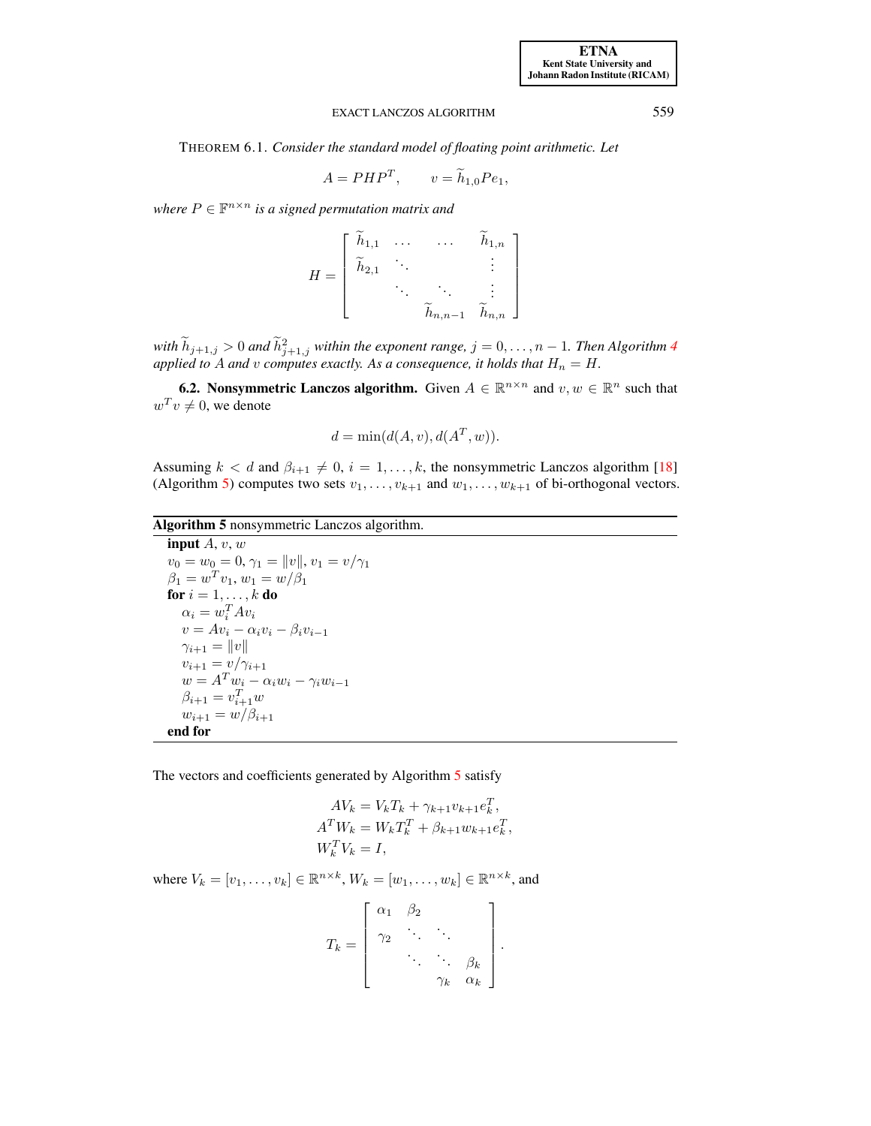<span id="page-12-1"></span>THEOREM 6.1. *Consider the standard model of floating point arithmetic. Let*

$$
A = PHP^T, \qquad v = \tilde{h}_{1,0}Pe_1,
$$

where  $P \in \mathbb{F}^{n \times n}$  is a signed permutation matrix and

$$
H = \begin{bmatrix} \widetilde{h}_{1,1} & \cdots & \cdots & \widetilde{h}_{1,n} \\ \widetilde{h}_{2,1} & \ddots & & \vdots \\ & \ddots & \ddots & \vdots \\ & & \widetilde{h}_{n,n-1} & \widetilde{h}_{n,n} \end{bmatrix}
$$

 $with \ h_{j+1,j} > 0$  and  $\tilde{h}_{j+1,j}^2$  within the exponent range,  $j = 0, \ldots, n-1$ . Then Algorithm [4](#page-11-1) applied to A and v computes exactly. As a consequence, it holds that  $H_n = H$ .

<span id="page-12-2"></span>**6.2.** Nonsymmetric Lanczos algorithm. Given  $A \in \mathbb{R}^{n \times n}$  and  $v, w \in \mathbb{R}^n$  such that  $w^T v \neq 0$ , we denote

$$
d = \min(d(A, v), d(AT, w)).
$$

Assuming  $k < d$  and  $\beta_{i+1} \neq 0$ ,  $i = 1, ..., k$ , the nonsymmetric Lanczos algorithm [\[18\]](#page-20-1) (Algorithm [5\)](#page-12-0) computes two sets  $v_1, \ldots, v_{k+1}$  and  $w_1, \ldots, w_{k+1}$  of bi-orthogonal vectors.

Algorithm 5 nonsymmetric Lanczos algorithm.

<span id="page-12-0"></span>input  $A, v, w$  $v_0 = w_0 = 0, \gamma_1 = ||v||, v_1 = v/\gamma_1$  $\beta_1 = w^T v_1, w_1 = w/\beta_1$ for  $i = 1, \ldots, k$  do  $\alpha_i = w_i^T A v_i$  $v = Av_i - \alpha_i v_i - \beta_i v_{i-1}$  $\gamma_{i+1} = ||v||$  $v_{i+1} = v/\gamma_{i+1}$  $w = A^T w_i - \alpha_i w_i - \gamma_i w_{i-1}$  $\beta_{i+1} = v_{i+1}^T w$  $w_{i+1} = w/\beta_{i+1}$ end for

The vectors and coefficients generated by Algorithm [5](#page-12-0) satisfy

$$
AV_k = V_k T_k + \gamma_{k+1} v_{k+1} e_k^T,
$$
  
\n
$$
A^T W_k = W_k T_k^T + \beta_{k+1} w_{k+1} e_k^T,
$$
  
\n
$$
W_k^T V_k = I,
$$

where  $V_k = [v_1, \ldots, v_k] \in \mathbb{R}^{n \times k}$ ,  $W_k = [w_1, \ldots, w_k] \in \mathbb{R}^{n \times k}$ , and

$$
T_k = \left[ \begin{array}{cccc} \alpha_1 & \beta_2 & & \\ \gamma_2 & \ddots & \ddots & \ddots & \\ \ddots & \ddots & \ddots & \beta_k & \\ \gamma_k & \alpha_k & \alpha_k \end{array} \right].
$$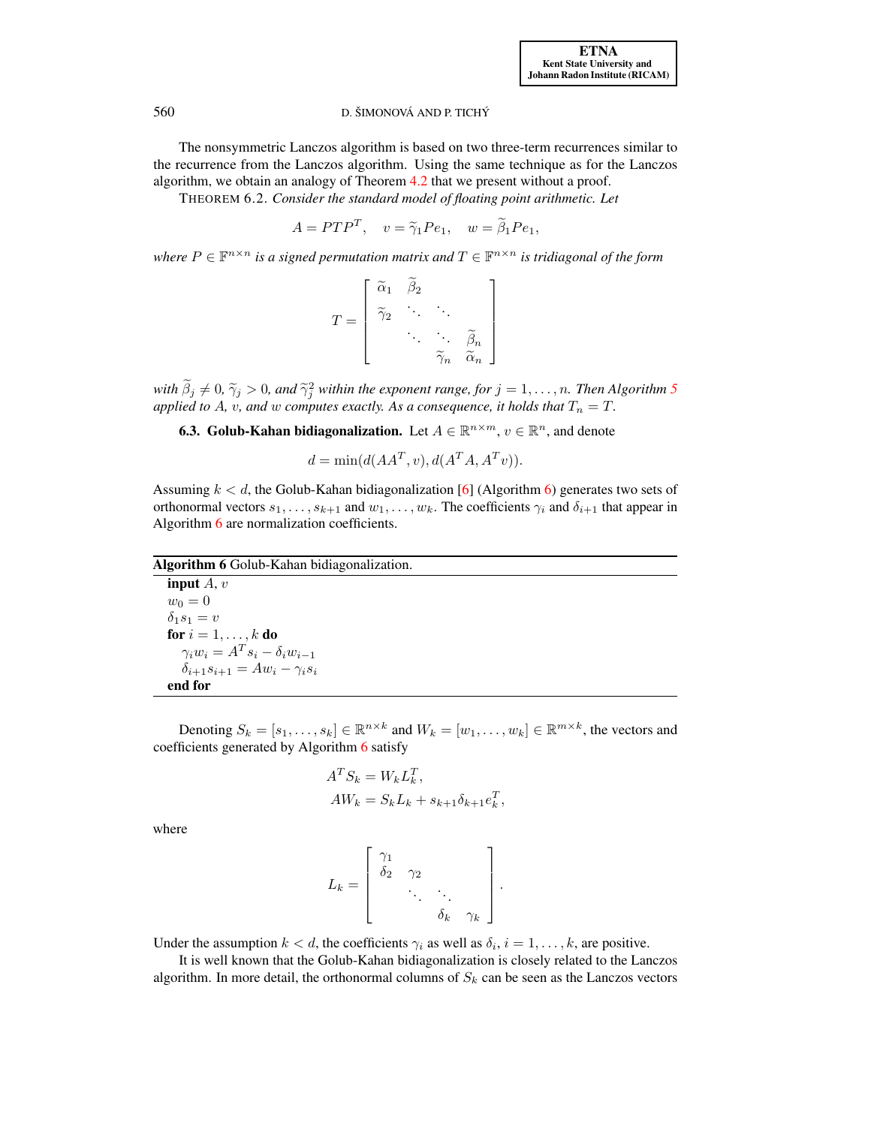[ETNA](http://etna.ricam.oeaw.ac.at) [Kent State University and](http://www.kent.edu) [Johann Radon Institute \(RICAM\)](http://www.ricam.oeaw.ac.at)

# 560 D. ŠIMONOVÁ AND P. TICHÝ

The nonsymmetric Lanczos algorithm is based on two three-term recurrences similar to the recurrence from the Lanczos algorithm. Using the same technique as for the Lanczos algorithm, we obtain an analogy of Theorem [4.2](#page-4-0) that we present without a proof.

THEOREM 6.2. *Consider the standard model of floating point arithmetic. Let*

$$
A = PTP^T, \quad v = \tilde{\gamma}_1 Pe_1, \quad w = \tilde{\beta}_1 Pe_1,
$$

where  $P \in \mathbb{F}^{n \times n}$  is a signed permutation matrix and  $T \in \mathbb{F}^{n \times n}$  is tridiagonal of the form

$$
T = \begin{bmatrix} \widetilde{\alpha}_1 & \widetilde{\beta}_2 & & \\ \widetilde{\gamma}_2 & \ddots & \ddots & \\ & \ddots & \ddots & \widetilde{\beta}_n \\ & & \widetilde{\gamma}_n & \widetilde{\alpha}_n \end{bmatrix}
$$

with  $\beta_j \neq 0$ ,  $\widetilde{\gamma}_j > 0$ , and  $\widetilde{\gamma}_j^2$  within the exponent range, for  $j = 1, \ldots, n$ . Then Algorithm [5](#page-12-0)<sup>*s*</sup> and *s* and *s* computes exactly. As a consequence, it holds that  $T = T$ *applied to A, v, and w computes exactly. As a consequence, it holds that*  $T_n = T$ .

**6.3. Golub-Kahan bidiagonalization.** Let  $A \in \mathbb{R}^{n \times m}$ ,  $v \in \mathbb{R}^n$ , and denote

$$
d = \min(d(AA^T, v), d(A^T A, A^T v)).
$$

Assuming  $k < d$ , the Golub-Kahan bidiagonalization [\[6\]](#page-19-5) (Algorithm [6\)](#page-13-0) generates two sets of orthonormal vectors  $s_1, \ldots, s_{k+1}$  and  $w_1, \ldots, w_k$ . The coefficients  $\gamma_i$  and  $\delta_{i+1}$  that appear in Algorithm [6](#page-13-0) are normalization coefficients.

# Algorithm 6 Golub-Kahan bidiagonalization.

<span id="page-13-0"></span>input  $A, v$  $w_0 = 0$  $\delta_1s_1=v$ for  $i=1,\ldots,k$  do  $\gamma_i w_i = A^T s_i - \delta_i w_{i-1}$  $\delta_{i+1}s_{i+1} = Aw_i - \gamma_i s_i$ end for

Denoting  $S_k = [s_1, \ldots, s_k] \in \mathbb{R}^{n \times k}$  and  $W_k = [w_1, \ldots, w_k] \in \mathbb{R}^{m \times k}$ , the vectors and coefficients generated by Algorithm [6](#page-13-0) satisfy

$$
AT Sk = Wk LkT,AWk = Sk Lk + sk+1 \deltak+1 ekT,
$$

where

$$
L_k = \left[ \begin{array}{ccc} \gamma_1 & & \\ \delta_2 & \gamma_2 & \\ & \ddots & \ddots \\ & & \delta_k & \gamma_k \end{array} \right].
$$

Under the assumption  $k < d$ , the coefficients  $\gamma_i$  as well as  $\delta_i$ ,  $i = 1, \dots, k$ , are positive.

It is well known that the Golub-Kahan bidiagonalization is closely related to the Lanczos algorithm. In more detail, the orthonormal columns of  $S_k$  can be seen as the Lanczos vectors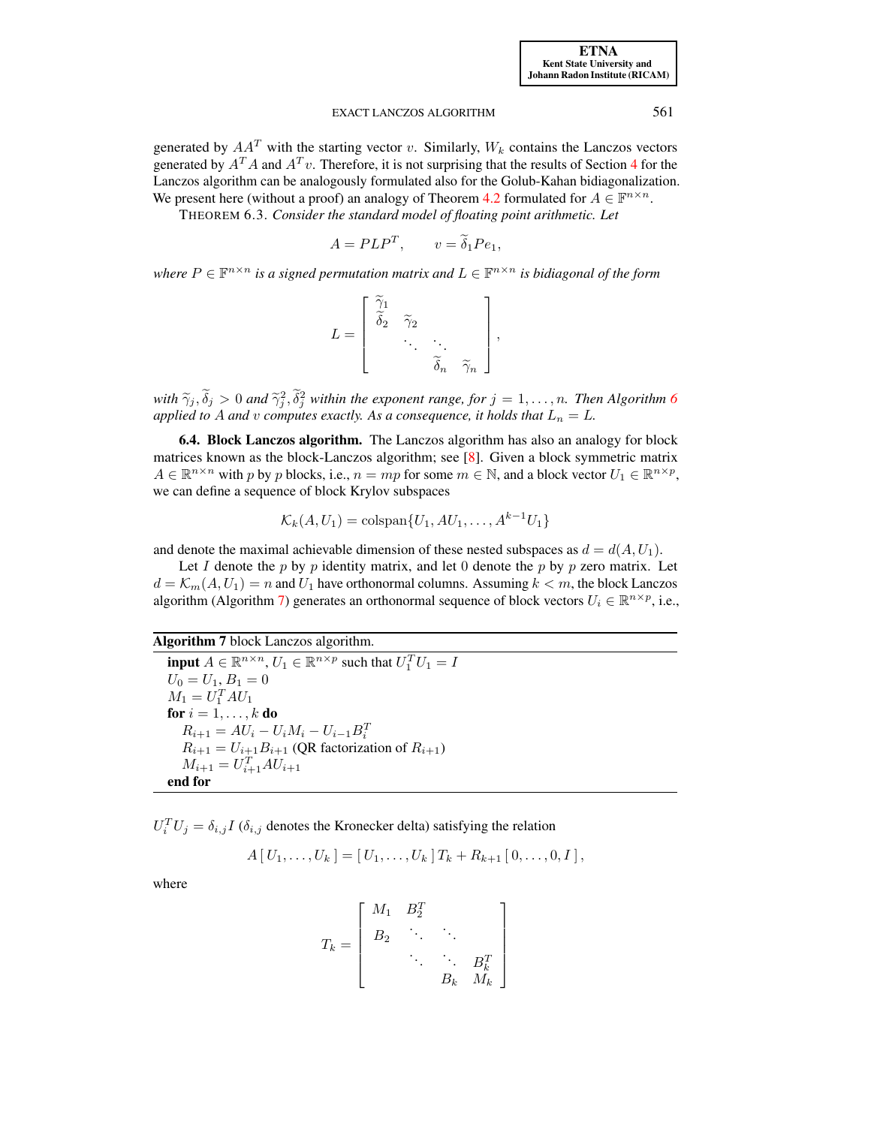[ETNA](http://etna.ricam.oeaw.ac.at) [Kent State University and](http://www.kent.edu) [Johann Radon Institute \(RICAM\)](http://www.ricam.oeaw.ac.at)

### EXACT LANCZOS ALGORITHM 561

generated by  $AA<sup>T</sup>$  with the starting vector v. Similarly,  $W<sub>k</sub>$  contains the Lanczos vectors generated by  $A^T A$  and  $A^T v$ . Therefore, it is not surprising that the results of Section [4](#page-3-0) for the Lanczos algorithm can be analogously formulated also for the Golub-Kahan bidiagonalization. We present here (without a proof) an analogy of Theorem [4.2](#page-4-0) formulated for  $A \in \mathbb{F}^{n \times n}$ .

THEOREM 6.3. *Consider the standard model of floating point arithmetic. Let*

$$
A = PLP^T, \qquad v = \tilde{\delta}_1 Pe_1,
$$

where  $P \in \mathbb{F}^{n \times n}$  is a signed permutation matrix and  $L \in \mathbb{F}^{n \times n}$  is bidiagonal of the form

$$
L = \begin{bmatrix} \widetilde{\gamma}_1 \\ \widetilde{\delta}_2 & \widetilde{\gamma}_2 \\ \vdots & \vdots \\ \vdots & \vdots \\ \widetilde{\delta}_n & \widetilde{\gamma}_n \end{bmatrix},
$$

with  $\widetilde{\gamma}_j$ ,  $\widetilde{\delta}_j > 0$  and  $\widetilde{\gamma}_j^2$ ,  $\widetilde{\delta}_j^2$  within the exponent range, for  $j = 1, \ldots, n$ . Then Algorithm [6](#page-13-0)<sup>*a*</sup> and *x* computes exactly. As a consequence, it holds that  $I = I$ *applied to* A *and*  $v$  *computes exactly. As a consequence, it holds that*  $L_n = L$ *.* 

<span id="page-14-1"></span>6.4. Block Lanczos algorithm. The Lanczos algorithm has also an analogy for block matrices known as the block-Lanczos algorithm; see [\[8\]](#page-19-6). Given a block symmetric matrix  $A \in \mathbb{R}^{n \times n}$  with p by p blocks, i.e.,  $n = mp$  for some  $m \in \mathbb{N}$ , and a block vector  $U_1 \in \mathbb{R}^{n \times p}$ , we can define a sequence of block Krylov subspaces

$$
\mathcal{K}_k(A, U_1) = \text{colspan}\{U_1, AU_1, \dots, A^{k-1}U_1\}
$$

and denote the maximal achievable dimension of these nested subspaces as  $d = d(A, U_1)$ .

Let I denote the p by p identity matrix, and let 0 denote the p by p zero matrix. Let  $d = \mathcal{K}_m(A, U_1) = n$  and  $U_1$  have orthonormal columns. Assuming  $k < m$ , the block Lanczos algorithm (Algorithm [7\)](#page-14-0) generates an orthonormal sequence of block vectors  $U_i \in \mathbb{R}^{n \times p}$ , i.e.,

Algorithm 7 block Lanczos algorithm.

<span id="page-14-0"></span>**input**  $A \in \mathbb{R}^{n \times n}$ ,  $U_1 \in \mathbb{R}^{n \times p}$  such that  $U_1^T U_1 = I$  $U_0 = U_1, B_1 = 0$  $M_1 = U_1^T A U_1$ for  $i=1,\ldots,k$  do  $R_{i+1} = AU_i - U_i M_i - U_{i-1} B_i^T$ <br>  $R_{i+1} = U_{i+1} B_{i+1}$  (QR factorization of  $R_{i+1}$ )  $M_{i+1} = U_{i+1}^T A U_{i+1}$ end for

 $U_i^T U_j = \delta_{i,j} I$  ( $\delta_{i,j}$  denotes the Kronecker delta) satisfying the relation

$$
A[U_1,\ldots,U_k] = [U_1,\ldots,U_k]T_k + R_{k+1}[0,\ldots,0,I],
$$

where

$$
T_k = \left[ \begin{array}{cccc} M_1 & B_2^T & & \\ B_2 & \ddots & \ddots & \\ & \ddots & \ddots & B_k^T \\ & & B_k & M_k \end{array} \right]
$$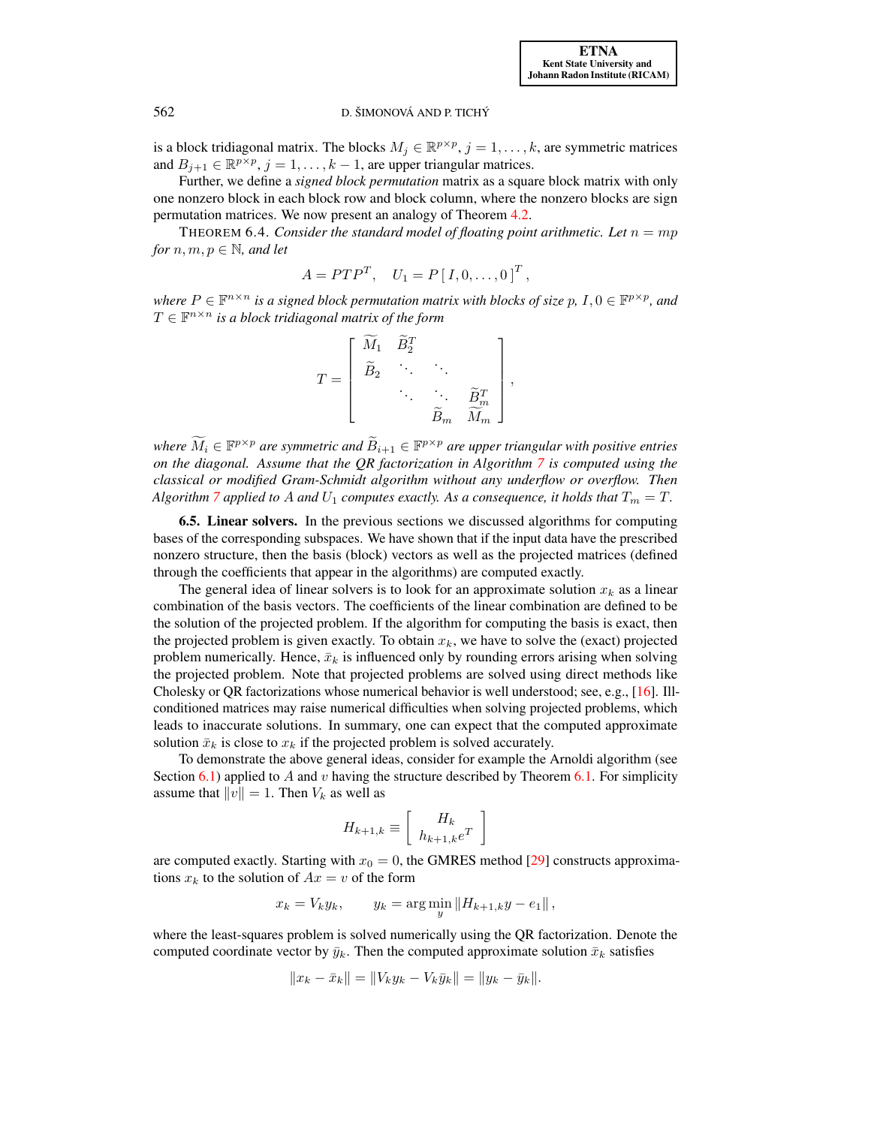is a block tridiagonal matrix. The blocks  $M_j \in \mathbb{R}^{p \times p}$ ,  $j = 1, \ldots, k$ , are symmetric matrices and  $B_{j+1} \in \mathbb{R}^{p \times p}$ ,  $j = 1, ..., k - 1$ , are upper triangular matrices.

Further, we define a *signed block permutation* matrix as a square block matrix with only one nonzero block in each block row and block column, where the nonzero blocks are sign permutation matrices. We now present an analogy of Theorem [4.2.](#page-4-0)

THEOREM 6.4. *Consider the standard model of floating point arithmetic. Let*  $n = mp$ *for*  $n, m, p \in \mathbb{N}$ *, and let* 

$$
A = P T P^T, \quad U_1 = P [I, 0, \dots, 0]^T,
$$

where  $P \in \mathbb{F}^{n \times n}$  is a signed block permutation matrix with blocks of size  $p$ ,  $I, 0 \in \mathbb{F}^{p \times p}$ , and  $T \in \mathbb{F}^{n \times n}$  is a block tridiagonal matrix of the form

$$
T = \begin{bmatrix} \widetilde{M}_1 & \widetilde{B}_2^T & & \\ \widetilde{B}_2 & \ddots & \ddots & \\ & \ddots & \ddots & \widetilde{B}_m^T \\ & & \widetilde{B}_m & \widetilde{M}_m \end{bmatrix},
$$

*where*  $\widetilde{M}_i \in \mathbb{F}^{p \times p}$  are symmetric and  $\widetilde{B}_{i+1} \in \mathbb{F}^{p \times p}$  are upper triangular with positive entries *on the diagonal. Assume that the QR factorization in Algorithm [7](#page-14-0) is computed using the classical or modified Gram-Schmidt algorithm without any underflow or overflow. Then Algorithm* [7](#page-14-0) applied to A and  $U_1$  computes exactly. As a consequence, it holds that  $T_m = T$ .

6.5. Linear solvers. In the previous sections we discussed algorithms for computing bases of the corresponding subspaces. We have shown that if the input data have the prescribed nonzero structure, then the basis (block) vectors as well as the projected matrices (defined through the coefficients that appear in the algorithms) are computed exactly.

The general idea of linear solvers is to look for an approximate solution  $x_k$  as a linear combination of the basis vectors. The coefficients of the linear combination are defined to be the solution of the projected problem. If the algorithm for computing the basis is exact, then the projected problem is given exactly. To obtain  $x_k$ , we have to solve the (exact) projected problem numerically. Hence,  $\bar{x}_k$  is influenced only by rounding errors arising when solving the projected problem. Note that projected problems are solved using direct methods like Cholesky or QR factorizations whose numerical behavior is well understood; see, e.g., [\[16\]](#page-20-12). Illconditioned matrices may raise numerical difficulties when solving projected problems, which leads to inaccurate solutions. In summary, one can expect that the computed approximate solution  $\bar{x}_k$  is close to  $x_k$  if the projected problem is solved accurately.

To demonstrate the above general ideas, consider for example the Arnoldi algorithm (see Section [6.1\)](#page-11-2) applied to A and v having the structure described by Theorem [6.1.](#page-12-1) For simplicity assume that  $||v|| = 1$ . Then  $V_k$  as well as

$$
H_{k+1,k} \equiv \left[ \begin{array}{c} H_k \\ h_{k+1,k} e^T \end{array} \right]
$$

are computed exactly. Starting with  $x_0 = 0$ , the GMRES method [\[29\]](#page-20-14) constructs approximations  $x_k$  to the solution of  $Ax = v$  of the form

$$
x_k = V_k y_k
$$
,  $y_k = \arg \min_{y} ||H_{k+1,k}y - e_1||$ ,

where the least-squares problem is solved numerically using the QR factorization. Denote the computed coordinate vector by  $\bar{y}_k$ . Then the computed approximate solution  $\bar{x}_k$  satisfies

$$
||x_k - \bar{x}_k|| = ||V_k y_k - V_k \bar{y}_k|| = ||y_k - \bar{y}_k||.
$$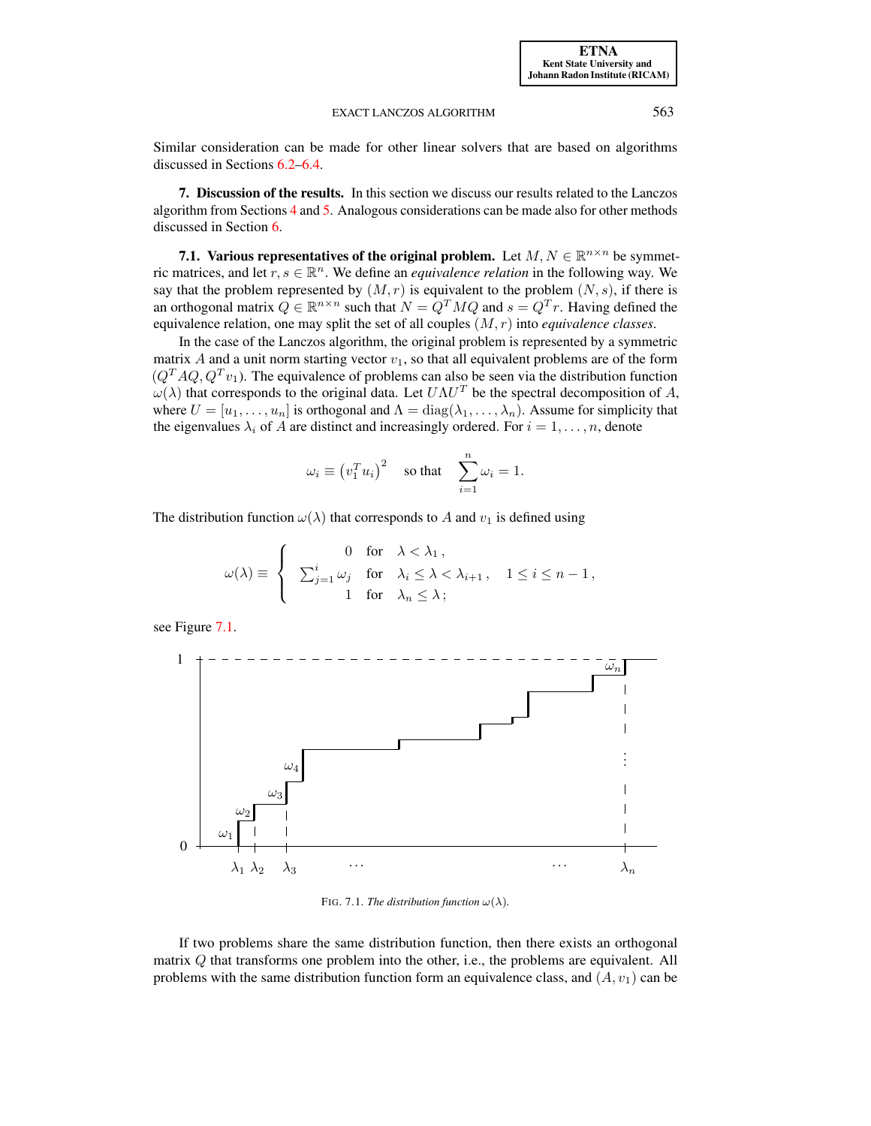Similar consideration can be made for other linear solvers that are based on algorithms discussed in Sections [6.2](#page-12-2)[–6.4.](#page-14-1)

<span id="page-16-0"></span>7. Discussion of the results. In this section we discuss our results related to the Lanczos algorithm from Sections [4](#page-3-0) and [5.](#page-5-0) Analogous considerations can be made also for other methods discussed in Section [6.](#page-11-0)

<span id="page-16-1"></span>7.1. Various representatives of the original problem. Let  $M, N \in \mathbb{R}^{n \times n}$  be symmetric matrices, and let  $r, s \in \mathbb{R}^n$ . We define an *equivalence relation* in the following way. We say that the problem represented by  $(M, r)$  is equivalent to the problem  $(N, s)$ , if there is an orthogonal matrix  $Q \in \mathbb{R}^{n \times n}$  such that  $N = Q^T M Q$  and  $s = Q^T r$ . Having defined the equivalence relation, one may split the set of all couples (M, r) into *equivalence classes*.

In the case of the Lanczos algorithm, the original problem is represented by a symmetric matrix A and a unit norm starting vector  $v_1$ , so that all equivalent problems are of the form  $(Q^T A Q, Q^T v_1)$ . The equivalence of problems can also be seen via the distribution function  $\omega(\lambda)$  that corresponds to the original data. Let  $U\Lambda U^T$  be the spectral decomposition of A, where  $U = [u_1, \dots, u_n]$  is orthogonal and  $\Lambda = diag(\lambda_1, \dots, \lambda_n)$ . Assume for simplicity that the eigenvalues  $\lambda_i$  of A are distinct and increasingly ordered. For  $i = 1, \dots, n$ , denote

$$
\omega_i \equiv (v_1^T u_i)^2 \quad \text{so that} \quad \sum_{i=1}^n \omega_i = 1.
$$

The distribution function  $\omega(\lambda)$  that corresponds to A and  $v_1$  is defined using

$$
\omega(\lambda) \equiv \begin{cases}\n0 & \text{for} \quad \lambda < \lambda_1, \\
\sum_{j=1}^i \omega_j & \text{for} \quad \lambda_i \leq \lambda < \lambda_{i+1}, \quad 1 \leq i \leq n-1, \\
1 & \text{for} \quad \lambda_n \leq \lambda;\n\end{cases}
$$

see Figure [7.1.](#page-16-1)



FIG. 7.1. *The distribution function*  $\omega(\lambda)$ .

If two problems share the same distribution function, then there exists an orthogonal matrix Q that transforms one problem into the other, i.e., the problems are equivalent. All problems with the same distribution function form an equivalence class, and  $(A, v_1)$  can be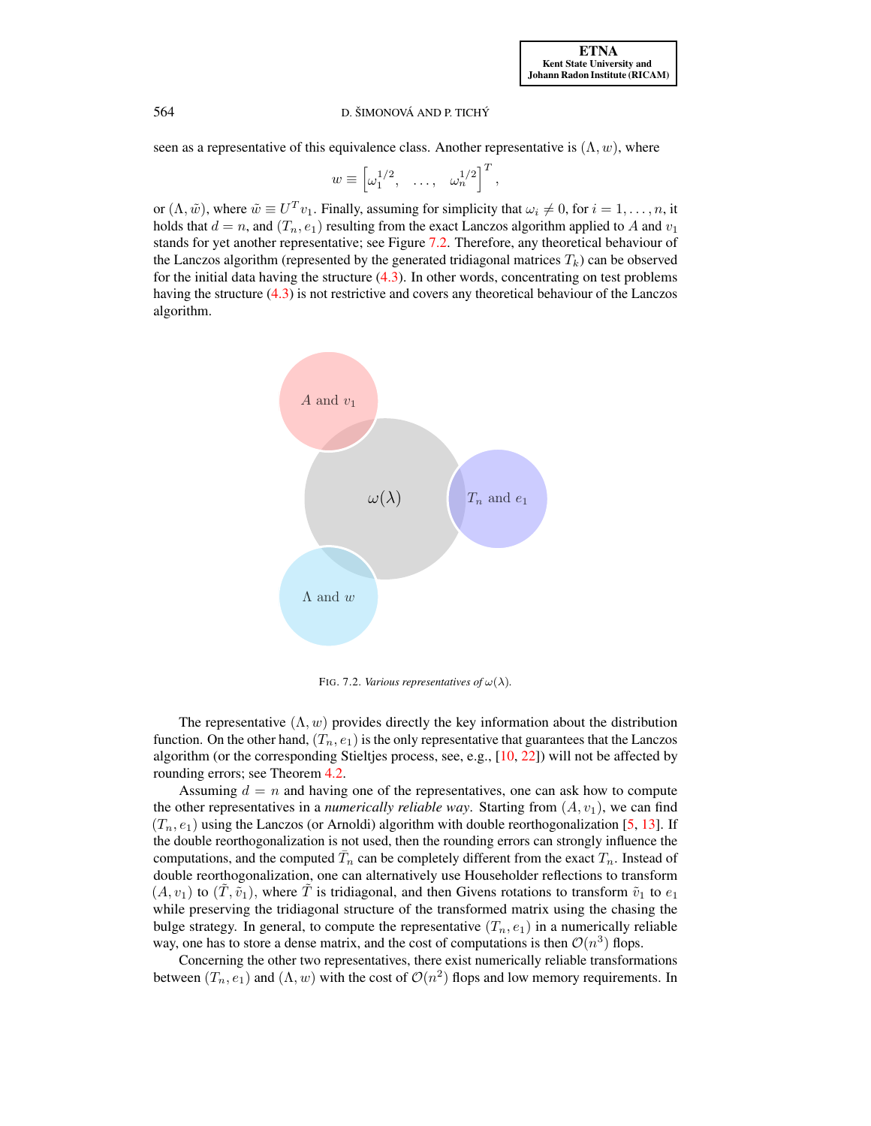seen as a representative of this equivalence class. Another representative is  $(\Lambda, w)$ , where

$$
w \equiv \begin{bmatrix} \omega_1^{1/2}, & \dots, & \omega_n^{1/2} \end{bmatrix}^T,
$$

or  $(\Lambda, \tilde{w})$ , where  $\tilde{w} \equiv U^T v_1$ . Finally, assuming for simplicity that  $\omega_i \neq 0$ , for  $i = 1, \ldots, n$ , it holds that  $d = n$ , and  $(T_n, e_1)$  resulting from the exact Lanczos algorithm applied to A and  $v_1$ stands for yet another representative; see Figure [7.2.](#page-17-0) Therefore, any theoretical behaviour of the Lanczos algorithm (represented by the generated tridiagonal matrices  $T_k$ ) can be observed for the initial data having the structure  $(4.3)$ . In other words, concentrating on test problems having the structure [\(4.3\)](#page-4-1) is not restrictive and covers any theoretical behaviour of the Lanczos algorithm.



<span id="page-17-0"></span>FIG. 7.2. *Various representatives of*  $\omega(\lambda)$ .

The representative  $(\Lambda, w)$  provides directly the key information about the distribution function. On the other hand,  $(T_n, e_1)$  is the only representative that guarantees that the Lanczos algorithm (or the corresponding Stieltjes process, see, e.g., [\[10,](#page-19-7) [22\]](#page-20-15)) will not be affected by rounding errors; see Theorem [4.2.](#page-4-0)

Assuming  $d = n$  and having one of the representatives, one can ask how to compute the other representatives in a *numerically reliable way*. Starting from  $(A, v_1)$ , we can find  $(T_n, e_1)$  using the Lanczos (or Arnoldi) algorithm with double reorthogonalization [\[5,](#page-19-8) [13\]](#page-20-6). If the double reorthogonalization is not used, then the rounding errors can strongly influence the computations, and the computed  $\bar{T}_n$  can be completely different from the exact  $T_n$ . Instead of double reorthogonalization, one can alternatively use Householder reflections to transform  $(A, v_1)$  to  $(\tilde{T}, \tilde{v}_1)$ , where  $\tilde{T}$  is tridiagonal, and then Givens rotations to transform  $\tilde{v}_1$  to  $e_1$ while preserving the tridiagonal structure of the transformed matrix using the chasing the bulge strategy. In general, to compute the representative  $(T_n, e_1)$  in a numerically reliable way, one has to store a dense matrix, and the cost of computations is then  $\mathcal{O}(n^3)$  flops.

Concerning the other two representatives, there exist numerically reliable transformations between  $(T_n, e_1)$  and  $(\Lambda, w)$  with the cost of  $\mathcal{O}(n^2)$  flops and low memory requirements. In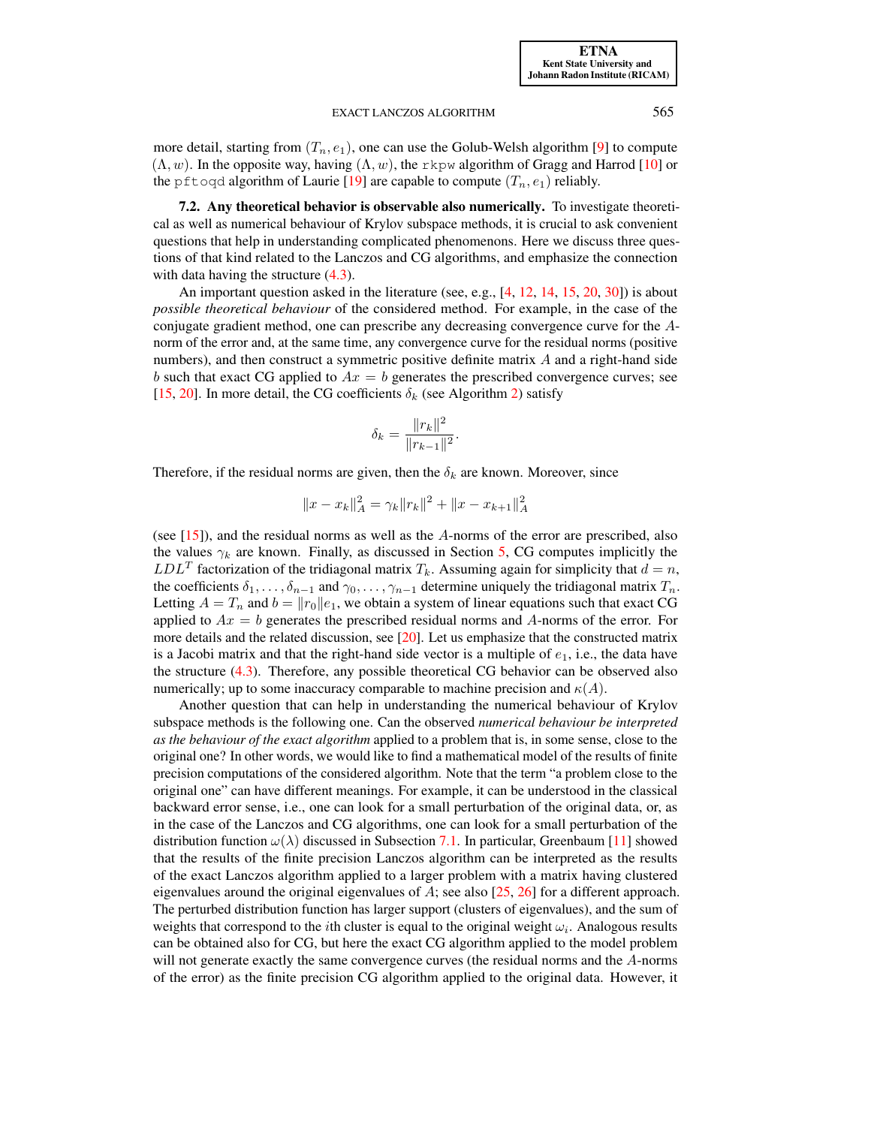more detail, starting from  $(T_n, e_1)$ , one can use the Golub-Welsh algorithm [\[9\]](#page-19-9) to compute  $(\Lambda, w)$ . In the opposite way, having  $(\Lambda, w)$ , the rkpw algorithm of Gragg and Harrod [\[10\]](#page-19-7) or the pftoqd algorithm of Laurie [\[19\]](#page-20-16) are capable to compute  $(T_n, e_1)$  reliably.

7.2. Any theoretical behavior is observable also numerically. To investigate theoretical as well as numerical behaviour of Krylov subspace methods, it is crucial to ask convenient questions that help in understanding complicated phenomenons. Here we discuss three questions of that kind related to the Lanczos and CG algorithms, and emphasize the connection with data having the structure  $(4.3)$ .

An important question asked in the literature (see, e.g., [\[4,](#page-19-10) [12,](#page-20-17) [14,](#page-20-18) [15,](#page-20-19) [20,](#page-20-20) [30\]](#page-20-21)) is about *possible theoretical behaviour* of the considered method. For example, in the case of the conjugate gradient method, one can prescribe any decreasing convergence curve for the Anorm of the error and, at the same time, any convergence curve for the residual norms (positive numbers), and then construct a symmetric positive definite matrix  $A$  and a right-hand side b such that exact CG applied to  $Ax = b$  generates the prescribed convergence curves; see [\[15,](#page-20-19) [20\]](#page-20-20). In more detail, the CG coefficients  $\delta_k$  (see Algorithm [2\)](#page-5-1) satisfy

$$
\delta_k = \frac{\|r_k\|^2}{\|r_{k-1}\|^2}.
$$

Therefore, if the residual norms are given, then the  $\delta_k$  are known. Moreover, since

$$
||x - x_k||_A^2 = \gamma_k ||r_k||^2 + ||x - x_{k+1}||_A^2
$$

(see  $[15]$ ), and the residual norms as well as the A-norms of the error are prescribed, also the values  $\gamma_k$  are known. Finally, as discussed in Section [5,](#page-5-0) CG computes implicitly the  $LDL<sup>T</sup>$  factorization of the tridiagonal matrix  $T<sub>k</sub>$ . Assuming again for simplicity that  $d = n$ , the coefficients  $\delta_1, \ldots, \delta_{n-1}$  and  $\gamma_0, \ldots, \gamma_{n-1}$  determine uniquely the tridiagonal matrix  $T_n$ . Letting  $A = T_n$  and  $b = ||r_0||e_1$ , we obtain a system of linear equations such that exact CG applied to  $Ax = b$  generates the prescribed residual norms and A-norms of the error. For more details and the related discussion, see [\[20\]](#page-20-20). Let us emphasize that the constructed matrix is a Jacobi matrix and that the right-hand side vector is a multiple of  $e_1$ , i.e., the data have the structure [\(4.3\)](#page-4-1). Therefore, any possible theoretical CG behavior can be observed also numerically; up to some inaccuracy comparable to machine precision and  $\kappa(A)$ .

Another question that can help in understanding the numerical behaviour of Krylov subspace methods is the following one. Can the observed *numerical behaviour be interpreted as the behaviour of the exact algorithm* applied to a problem that is, in some sense, close to the original one? In other words, we would like to find a mathematical model of the results of finite precision computations of the considered algorithm. Note that the term "a problem close to the original one" can have different meanings. For example, it can be understood in the classical backward error sense, i.e., one can look for a small perturbation of the original data, or, as in the case of the Lanczos and CG algorithms, one can look for a small perturbation of the distribution function  $\omega(\lambda)$  discussed in Subsection [7.1.](#page-16-1) In particular, Greenbaum [\[11\]](#page-19-0) showed that the results of the finite precision Lanczos algorithm can be interpreted as the results of the exact Lanczos algorithm applied to a larger problem with a matrix having clustered eigenvalues around the original eigenvalues of A; see also  $[25, 26]$  $[25, 26]$  $[25, 26]$  for a different approach. The perturbed distribution function has larger support (clusters of eigenvalues), and the sum of weights that correspond to the *i*th cluster is equal to the original weight  $\omega_i$ . Analogous results can be obtained also for CG, but here the exact CG algorithm applied to the model problem will not generate exactly the same convergence curves (the residual norms and the A-norms of the error) as the finite precision CG algorithm applied to the original data. However, it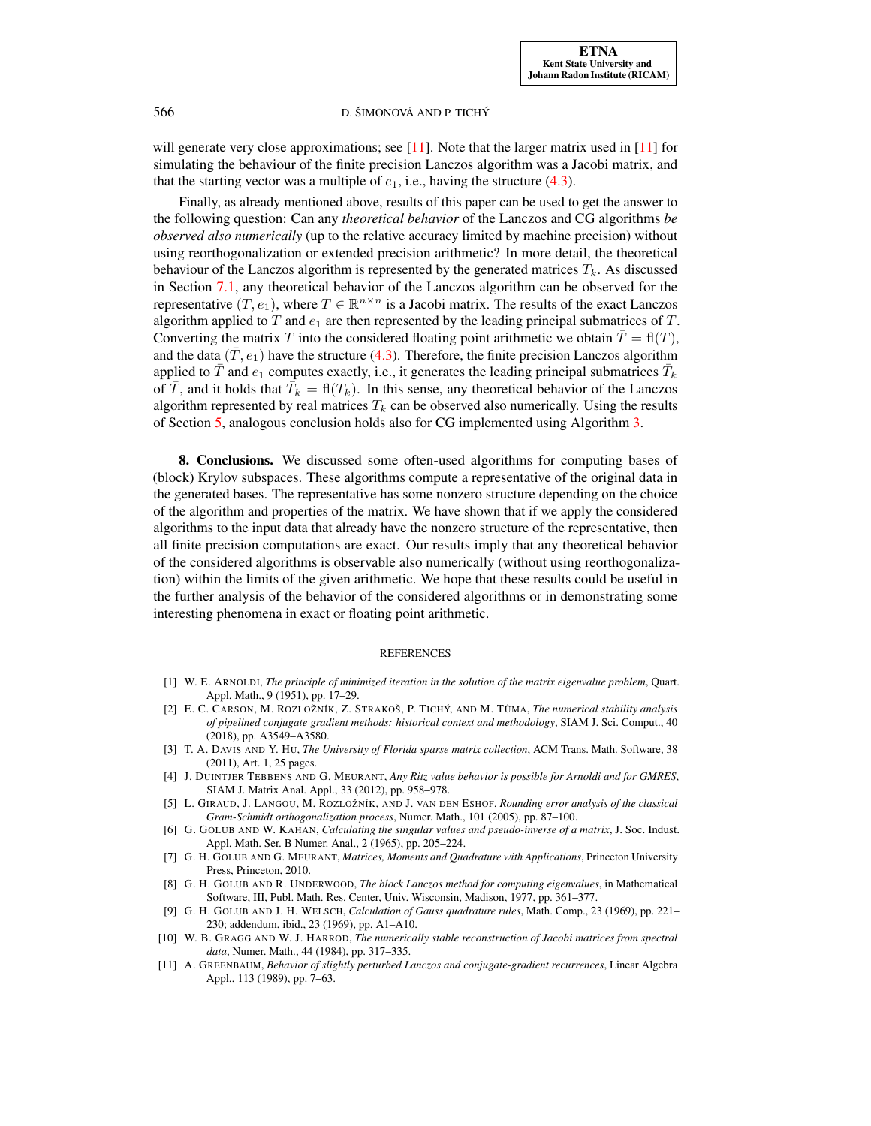will generate very close approximations; see  $[11]$ . Note that the larger matrix used in  $[11]$  for simulating the behaviour of the finite precision Lanczos algorithm was a Jacobi matrix, and that the starting vector was a multiple of  $e_1$ , i.e., having the structure [\(4.3\)](#page-4-1).

Finally, as already mentioned above, results of this paper can be used to get the answer to the following question: Can any *theoretical behavior* of the Lanczos and CG algorithms *be observed also numerically* (up to the relative accuracy limited by machine precision) without using reorthogonalization or extended precision arithmetic? In more detail, the theoretical behaviour of the Lanczos algorithm is represented by the generated matrices  $T_k$ . As discussed in Section [7.1,](#page-16-1) any theoretical behavior of the Lanczos algorithm can be observed for the representative  $(T, e_1)$ , where  $T \in \mathbb{R}^{n \times n}$  is a Jacobi matrix. The results of the exact Lanczos algorithm applied to  $T$  and  $e_1$  are then represented by the leading principal submatrices of  $T$ . Converting the matrix T into the considered floating point arithmetic we obtain  $\overline{T} = \mathbf{f}(T)$ , and the data  $(\bar{T}, e_1)$  have the structure [\(4.3\)](#page-4-1). Therefore, the finite precision Lanczos algorithm applied to  $\bar{T}$  and  $e_1$  computes exactly, i.e., it generates the leading principal submatrices  $\bar{T}_k$ of  $\overline{T}$ , and it holds that  $\overline{T}_k = fl(T_k)$ . In this sense, any theoretical behavior of the Lanczos algorithm represented by real matrices  $T_k$  can be observed also numerically. Using the results of Section [5,](#page-5-0) analogous conclusion holds also for CG implemented using Algorithm [3.](#page-9-0)

8. Conclusions. We discussed some often-used algorithms for computing bases of (block) Krylov subspaces. These algorithms compute a representative of the original data in the generated bases. The representative has some nonzero structure depending on the choice of the algorithm and properties of the matrix. We have shown that if we apply the considered algorithms to the input data that already have the nonzero structure of the representative, then all finite precision computations are exact. Our results imply that any theoretical behavior of the considered algorithms is observable also numerically (without using reorthogonalization) within the limits of the given arithmetic. We hope that these results could be useful in the further analysis of the behavior of the considered algorithms or in demonstrating some interesting phenomena in exact or floating point arithmetic.

#### REFERENCES

- <span id="page-19-4"></span>[1] W. E. ARNOLDI, *The principle of minimized iteration in the solution of the matrix eigenvalue problem*, Quart. Appl. Math., 9 (1951), pp. 17–29.
- <span id="page-19-3"></span>[2] E. C. CARSON, M. ROZLOŽNÍK, Z. STRAKOŠ, P. TICHÝ, AND M. TŮMA, *The numerical stability analysis of pipelined conjugate gradient methods: historical context and methodology*, SIAM J. Sci. Comput., 40 (2018), pp. A3549–A3580.
- <span id="page-19-2"></span>[3] T. A. DAVIS AND Y. HU, *The University of Florida sparse matrix collection*, ACM Trans. Math. Software, 38 (2011), Art. 1, 25 pages.
- <span id="page-19-10"></span>[4] J. DUINTJER TEBBENS AND G. MEURANT, *Any Ritz value behavior is possible for Arnoldi and for GMRES*, SIAM J. Matrix Anal. Appl., 33 (2012), pp. 958–978.
- <span id="page-19-8"></span>[5] L. GIRAUD, J. LANGOU, M. ROZLOŽNÍK, AND J. VAN DEN ESHOF, *Rounding error analysis of the classical Gram-Schmidt orthogonalization process*, Numer. Math., 101 (2005), pp. 87–100.
- <span id="page-19-5"></span>[6] G. GOLUB AND W. KAHAN, *Calculating the singular values and pseudo-inverse of a matrix*, J. Soc. Indust. Appl. Math. Ser. B Numer. Anal., 2 (1965), pp. 205–224.
- <span id="page-19-1"></span>[7] G. H. GOLUB AND G. MEURANT, *Matrices, Moments and Quadrature with Applications*, Princeton University Press, Princeton, 2010.
- <span id="page-19-6"></span>[8] G. H. GOLUB AND R. UNDERWOOD, *The block Lanczos method for computing eigenvalues*, in Mathematical Software, III, Publ. Math. Res. Center, Univ. Wisconsin, Madison, 1977, pp. 361–377.
- <span id="page-19-9"></span>[9] G. H. GOLUB AND J. H. WELSCH, *Calculation of Gauss quadrature rules*, Math. Comp., 23 (1969), pp. 221– 230; addendum, ibid., 23 (1969), pp. A1–A10.
- <span id="page-19-7"></span>[10] W. B. GRAGG AND W. J. HARROD, *The numerically stable reconstruction of Jacobi matrices from spectral data*, Numer. Math., 44 (1984), pp. 317–335.
- <span id="page-19-0"></span>[11] A. GREENBAUM, *Behavior of slightly perturbed Lanczos and conjugate-gradient recurrences*, Linear Algebra Appl., 113 (1989), pp. 7–63.